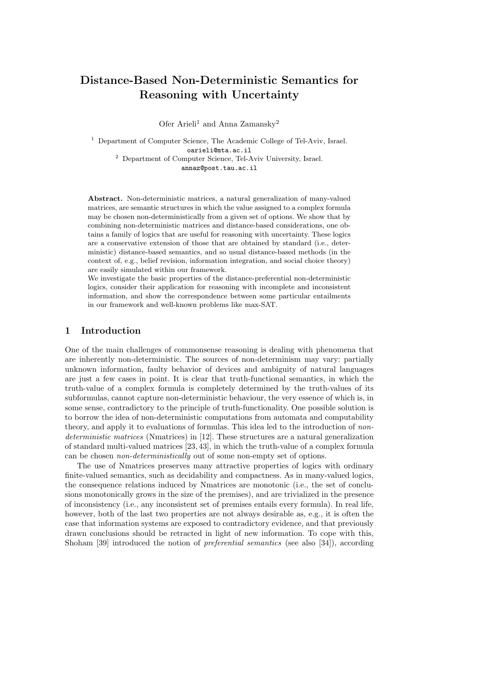# Distance-Based Non-Deterministic Semantics for Reasoning with Uncertainty

Ofer Arieli<sup>1</sup> and Anna Zamansky<sup>2</sup>

<sup>1</sup> Department of Computer Science, The Academic College of Tel-Aviv, Israel. oarieli@mta.ac.il <sup>2</sup> Department of Computer Science, Tel-Aviv University, Israel.

annaz@post.tau.ac.il

Abstract. Non-deterministic matrices, a natural generalization of many-valued matrices, are semantic structures in which the value assigned to a complex formula may be chosen non-deterministically from a given set of options. We show that by combining non-deterministic matrices and distance-based considerations, one obtains a family of logics that are useful for reasoning with uncertainty. These logics are a conservative extension of those that are obtained by standard (i.e., deterministic) distance-based semantics, and so usual distance-based methods (in the context of, e.g., belief revision, information integration, and social choice theory) are easily simulated within our framework.

We investigate the basic properties of the distance-preferential non-deterministic logics, consider their application for reasoning with incomplete and inconsistent information, and show the correspondence between some particular entailments in our framework and well-known problems like max-SAT.

# 1 Introduction

One of the main challenges of commonsense reasoning is dealing with phenomena that are inherently non-deterministic. The sources of non-determinism may vary: partially unknown information, faulty behavior of devices and ambiguity of natural languages are just a few cases in point. It is clear that truth-functional semantics, in which the truth-value of a complex formula is completely determined by the truth-values of its subformulas, cannot capture non-deterministic behaviour, the very essence of which is, in some sense, contradictory to the principle of truth-functionality. One possible solution is to borrow the idea of non-deterministic computations from automata and computability theory, and apply it to evaluations of formulas. This idea led to the introduction of nondeterministic matrices (Nmatrices) in [12]. These structures are a natural generalization of standard multi-valued matrices [23, 43], in which the truth-value of a complex formula can be chosen non-deterministically out of some non-empty set of options.

The use of Nmatrices preserves many attractive properties of logics with ordinary finite-valued semantics, such as decidability and compactness. As in many-valued logics, the consequence relations induced by Nmatrices are monotonic (i.e., the set of conclusions monotonically grows in the size of the premises), and are trivialized in the presence of inconsistency (i.e., any inconsistent set of premises entails every formula). In real life, however, both of the last two properties are not always desirable as, e.g., it is often the case that information systems are exposed to contradictory evidence, and that previously drawn conclusions should be retracted in light of new information. To cope with this, Shoham [39] introduced the notion of *preferential semantics* (see also [34]), according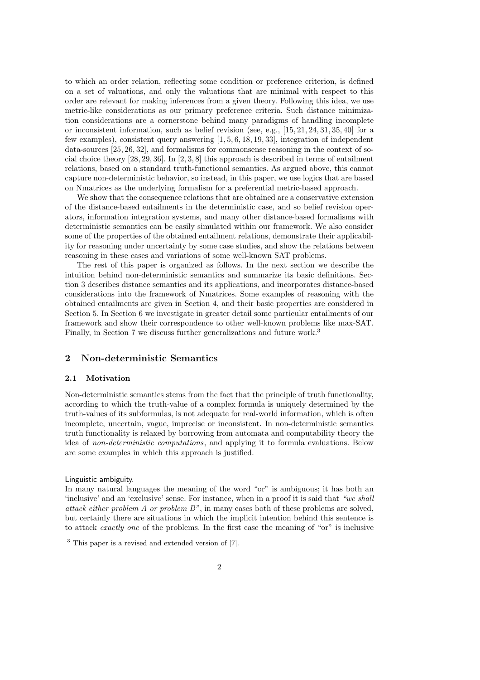to which an order relation, reflecting some condition or preference criterion, is defined on a set of valuations, and only the valuations that are minimal with respect to this order are relevant for making inferences from a given theory. Following this idea, we use metric-like considerations as our primary preference criteria. Such distance minimization considerations are a cornerstone behind many paradigms of handling incomplete or inconsistent information, such as belief revision (see, e.g., [15, 21, 24, 31, 35, 40] for a few examples), consistent query answering [1, 5, 6, 18, 19, 33], integration of independent data-sources [25, 26, 32], and formalisms for commonsense reasoning in the context of social choice theory  $[28, 29, 36]$ . In  $[2, 3, 8]$  this approach is described in terms of entailment relations, based on a standard truth-functional semantics. As argued above, this cannot capture non-deterministic behavior, so instead, in this paper, we use logics that are based on Nmatrices as the underlying formalism for a preferential metric-based approach.

We show that the consequence relations that are obtained are a conservative extension of the distance-based entailments in the deterministic case, and so belief revision operators, information integration systems, and many other distance-based formalisms with deterministic semantics can be easily simulated within our framework. We also consider some of the properties of the obtained entailment relations, demonstrate their applicability for reasoning under uncertainty by some case studies, and show the relations between reasoning in these cases and variations of some well-known SAT problems.

The rest of this paper is organized as follows. In the next section we describe the intuition behind non-deterministic semantics and summarize its basic definitions. Section 3 describes distance semantics and its applications, and incorporates distance-based considerations into the framework of Nmatrices. Some examples of reasoning with the obtained entailments are given in Section 4, and their basic properties are considered in Section 5. In Section 6 we investigate in greater detail some particular entailments of our framework and show their correspondence to other well-known problems like max-SAT. Finally, in Section 7 we discuss further generalizations and future work.<sup>3</sup>

# 2 Non-deterministic Semantics

### 2.1 Motivation

Non-deterministic semantics stems from the fact that the principle of truth functionality, according to which the truth-value of a complex formula is uniquely determined by the truth-values of its subformulas, is not adequate for real-world information, which is often incomplete, uncertain, vague, imprecise or inconsistent. In non-deterministic semantics truth functionality is relaxed by borrowing from automata and computability theory the idea of non-deterministic computations, and applying it to formula evaluations. Below are some examples in which this approach is justified.

#### Linguistic ambiguity.

In many natural languages the meaning of the word "or" is ambiguous; it has both an 'inclusive' and an 'exclusive' sense. For instance, when in a proof it is said that "we shall attack either problem  $A$  or problem  $B$ ", in many cases both of these problems are solved, but certainly there are situations in which the implicit intention behind this sentence is to attack exactly one of the problems. In the first case the meaning of "or" is inclusive

<sup>3</sup> This paper is a revised and extended version of [7].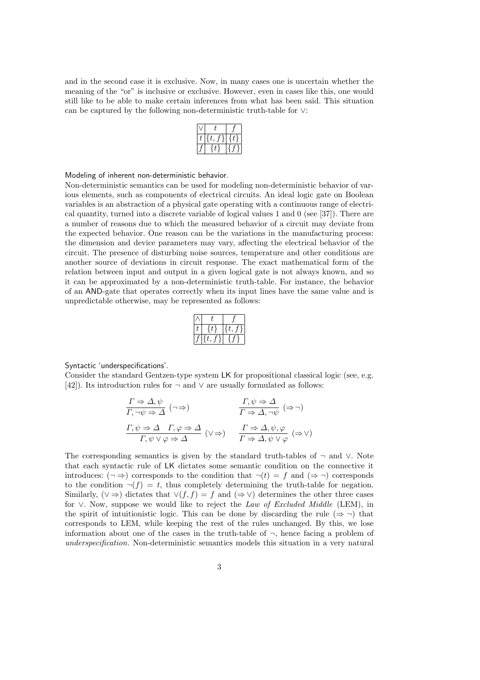and in the second case it is exclusive. Now, in many cases one is uncertain whether the meaning of the "or" is inclusive or exclusive. However, even in cases like this, one would still like to be able to make certain inferences from what has been said. This situation can be captured by the following non-deterministic truth-table for ∨:

| ι | t |
|---|---|
|   |   |

Modeling of inherent non-deterministic behavior.

Non-deterministic semantics can be used for modeling non-deterministic behavior of various elements, such as components of electrical circuits. An ideal logic gate on Boolean variables is an abstraction of a physical gate operating with a continuous range of electrical quantity, turned into a discrete variable of logical values 1 and 0 (see [37]). There are a number of reasons due to which the measured behavior of a circuit may deviate from the expected behavior. One reason can be the variations in the manufacturing process: the dimension and device parameters may vary, affecting the electrical behavior of the circuit. The presence of disturbing noise sources, temperature and other conditions are another source of deviations in circuit response. The exact mathematical form of the relation between input and output in a given logical gate is not always known, and so it can be approximated by a non-deterministic truth-table. For instance, the behavior of an AND-gate that operates correctly when its input lines have the same value and is unpredictable otherwise, may be represented as follows:

| 7. |  |
|----|--|
|    |  |

Syntactic 'underspecifications'.

Consider the standard Gentzen-type system LK for propositional classical logic (see, e.g. [42]). Its introduction rules for  $\neg$  and  $\vee$  are usually formulated as follows:

$$
\frac{\Gamma \Rightarrow \Delta, \psi}{\Gamma, \neg \psi \Rightarrow \Delta} (\neg \Rightarrow) \qquad \qquad \frac{\Gamma, \psi \Rightarrow \Delta}{\Gamma \Rightarrow \Delta, \neg \psi} (\Rightarrow \neg)
$$
  

$$
\frac{\Gamma, \psi \Rightarrow \Delta \quad \Gamma, \varphi \Rightarrow \Delta}{\Gamma, \psi \lor \varphi \Rightarrow \Delta} (\vee \Rightarrow) \qquad \frac{\Gamma \Rightarrow \Delta, \psi, \varphi}{\Gamma \Rightarrow \Delta, \psi \lor \varphi} (\Rightarrow \vee)
$$

The corresponding semantics is given by the standard truth-tables of  $\neg$  and  $\vee$ . Note that each syntactic rule of LK dictates some semantic condition on the connective it introduces:  $(\neg \Rightarrow)$  corresponds to the condition that  $\neg(t) = f$  and  $(\Rightarrow \neg)$  corresponds to the condition  $\neg(f) = t$ , thus completely determining the truth-table for negation. Similarly,  $(\vee \Rightarrow)$  dictates that  $\vee (f, f) = f$  and  $(\Rightarrow \vee)$  determines the other three cases for ∨. Now, suppose we would like to reject the Law of Excluded Middle (LEM), in the spirit of intuitionistic logic. This can be done by discarding the rule ( $\Rightarrow \neg$ ) that corresponds to LEM, while keeping the rest of the rules unchanged. By this, we lose information about one of the cases in the truth-table of  $\neg$ , hence facing a problem of underspecification. Non-deterministic semantics models this situation in a very natural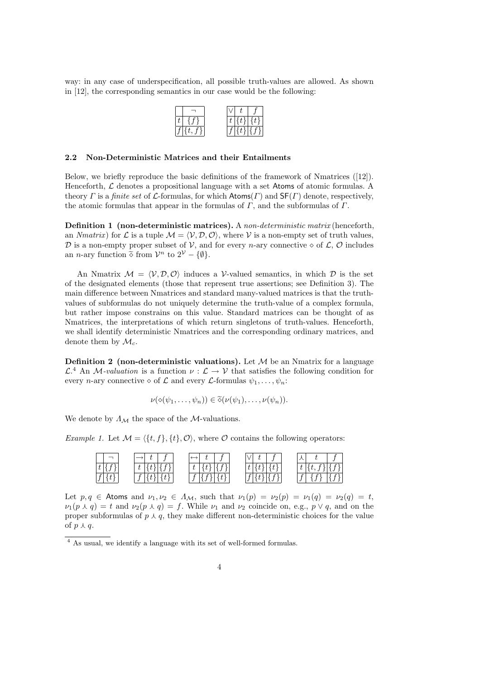way: in any case of underspecification, all possible truth-values are allowed. As shown in [12], the corresponding semantics in our case would be the following:

|  |  | $\{t\}$ $\{t\}$ |             |
|--|--|-----------------|-------------|
|  |  |                 | $\{\{f}\}\$ |

### 2.2 Non-Deterministic Matrices and their Entailments

Below, we briefly reproduce the basic definitions of the framework of Nmatrices ([12]). Henceforth,  $\mathcal L$  denotes a propositional language with a set Atoms of atomic formulas. A theory Γ is a finite set of L-formulas, for which  $\mathsf{Atoms}(F)$  and  $\mathsf{SF}(F)$  denote, respectively, the atomic formulas that appear in the formulas of  $\Gamma$ , and the subformulas of  $\Gamma$ .

Definition 1 (non-deterministic matrices). A non-deterministic matrix (henceforth, an *Nmatrix*) for  $\mathcal L$  is a tuple  $\mathcal M = \langle \mathcal V, \mathcal D, \mathcal O \rangle$ , where V is a non-empty set of truth values,  $D$  is a non-empty proper subset of  $V$ , and for every *n*-ary connective  $\diamond$  of  $\mathcal{L}, \mathcal{O}$  includes an *n*-ary function  $\tilde{\diamond}$  from  $\mathcal{V}^n$  to  $2^{\mathcal{V}} - {\emptyset}.$ 

An Nmatrix  $\mathcal{M} = \langle \mathcal{V}, \mathcal{D}, \mathcal{O} \rangle$  induces a V-valued semantics, in which D is the set of the designated elements (those that represent true assertions; see Definition 3). The main difference between Nmatrices and standard many-valued matrices is that the truthvalues of subformulas do not uniquely determine the truth-value of a complex formula, but rather impose constrains on this value. Standard matrices can be thought of as Nmatrices, the interpretations of which return singletons of truth-values. Henceforth, we shall identify deterministic Nmatrices and the corresponding ordinary matrices, and denote them by  $\mathcal{M}_c$ .

**Definition 2** (non-deterministic valuations). Let  $M$  be an Nmatrix for a language  $\mathcal{L}^4$  An *M*-valuation is a function  $\nu : \mathcal{L} \to \mathcal{V}$  that satisfies the following condition for every *n*-ary connective  $\diamond$  of  $\mathcal L$  and every  $\mathcal L$ -formulas  $\psi_1, \ldots, \psi_n$ :

$$
\nu(\diamond(\psi_1,\ldots,\psi_n))\in\widetilde{\diamond}(\nu(\psi_1),\ldots,\nu(\psi_n)).
$$

We denote by  $\Lambda_M$  the space of the M-valuations.

*Example 1.* Let  $M = \{ \{t, f\}, \{t\}, \mathcal{O} \}$ , where  $\mathcal O$  contains the following operators:

| -                                | $\epsilon$         |         |                                         |              | $\epsilon$<br>$\cdot$                         |
|----------------------------------|--------------------|---------|-----------------------------------------|--------------|-----------------------------------------------|
| $\alpha$<br>$\boldsymbol{\iota}$ | $\theta$<br>◡<br>◡ | ∪<br>v  | ◡<br>U<br>v                             | $\mathbf{v}$ | $\theta$<br>$\boldsymbol{\omega}$             |
| ◡<br>$\cdot$                     | ◡<br>◡<br>         | ◡<br>., | $\sim$<br>$\boldsymbol{\nu}$<br>$\cdot$ | J            | $\sim$<br>$\cdot$<br>$\overline{\phantom{a}}$ |

Let  $p, q \in$  Atoms and  $\nu_1, \nu_2 \in \Lambda_M$ , such that  $\nu_1(p) = \nu_2(p) = \nu_1(q) = \nu_2(q) = t$ ,  $\nu_1(p \wedge q) = t$  and  $\nu_2(p \wedge q) = f$ . While  $\nu_1$  and  $\nu_2$  coincide on, e.g.,  $p \vee q$ , and on the proper subformulas of  $p \wedge q$ , they make different non-deterministic choices for the value of  $p \wedge q$ .

<sup>4</sup> As usual, we identify a language with its set of well-formed formulas.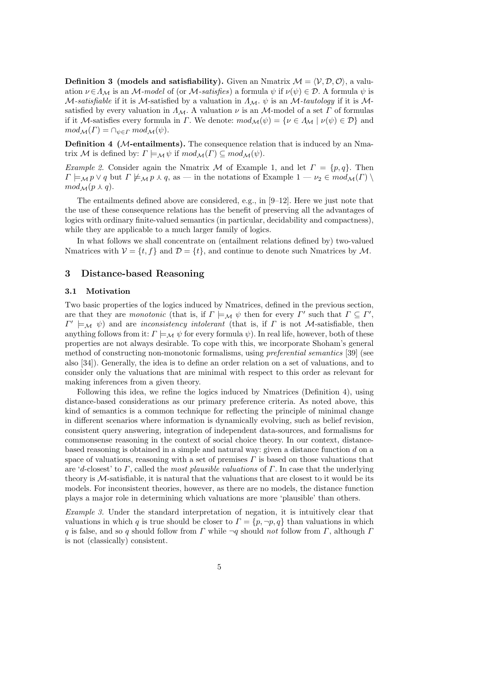**Definition 3** (models and satisfiability). Given an Nmatrix  $M = \langle V, \mathcal{D}, \mathcal{O} \rangle$ , a valuation  $\nu \in \Lambda_M$  is an M-model of (or M-satisfies) a formula  $\psi$  if  $\nu(\psi) \in \mathcal{D}$ . A formula  $\psi$  is M-satisfiable if it is M-satisfied by a valuation in  $\Lambda_M$ .  $\psi$  is an M-tautology if it is Msatisfied by every valuation in  $\Lambda_M$ . A valuation  $\nu$  is an M-model of a set  $\Gamma$  of formulas if it M-satisfies every formula in  $\Gamma$ . We denote:  $mod_{\mathcal{M}}(\psi) = {\nu \in \Lambda_{\mathcal{M}} \mid \nu(\psi) \in \mathcal{D}}$  and  $mod_{\mathcal{M}}(\Gamma) = \bigcap_{\psi \in \Gamma} mod_{\mathcal{M}}(\psi).$ 

Definition 4 (M-entailments). The consequence relation that is induced by an Nmatrix M is defined by:  $\Gamma \models_M \psi$  if  $mod_\mathcal{M}(\Gamma) \subseteq mod_\mathcal{M}(\psi)$ .

Example 2. Consider again the Nmatrix M of Example 1, and let  $\Gamma = \{p, q\}$ . Then  $\Gamma \models_{\mathcal{M}} p \lor q$  but  $\Gamma \not\models_{\mathcal{M}} p \land q$ , as — in the notations of Example  $1 - \nu_2 \in \mathit{mod}_{\mathcal{M}}(\Gamma) \setminus \mathcal{M}$  $mod_{\mathcal{M}}(p \wedge q).$ 

The entailments defined above are considered, e.g., in [9–12]. Here we just note that the use of these consequence relations has the benefit of preserving all the advantages of logics with ordinary finite-valued semantics (in particular, decidability and compactness), while they are applicable to a much larger family of logics.

In what follows we shall concentrate on (entailment relations defined by) two-valued Nmatrices with  $V = \{t, f\}$  and  $\mathcal{D} = \{t\}$ , and continue to denote such Nmatrices by M.

# 3 Distance-based Reasoning

### 3.1 Motivation

Two basic properties of the logics induced by Nmatrices, defined in the previous section, are that they are monotonic (that is, if  $\Gamma \models_M \psi$  then for every  $\Gamma'$  such that  $\Gamma \subseteq \Gamma'$ ,  $\Gamma' \models_{\mathcal{M}} \psi$  and are *inconsistency intolerant* (that is, if  $\Gamma$  is not *M*-satisfiable, then anything follows from it:  $\Gamma \models_M \psi$  for every formula  $\psi$ ). In real life, however, both of these properties are not always desirable. To cope with this, we incorporate Shoham's general method of constructing non-monotonic formalisms, using preferential semantics [39] (see also [34]). Generally, the idea is to define an order relation on a set of valuations, and to consider only the valuations that are minimal with respect to this order as relevant for making inferences from a given theory.

Following this idea, we refine the logics induced by Nmatrices (Definition 4), using distance-based considerations as our primary preference criteria. As noted above, this kind of semantics is a common technique for reflecting the principle of minimal change in different scenarios where information is dynamically evolving, such as belief revision, consistent query answering, integration of independent data-sources, and formalisms for commonsense reasoning in the context of social choice theory. In our context, distancebased reasoning is obtained in a simple and natural way: given a distance function  $d$  on a space of valuations, reasoning with a set of premises  $\Gamma$  is based on those valuations that are 'd-closest' to  $\Gamma$ , called the most plausible valuations of  $\Gamma$ . In case that the underlying theory is  $M$ -satisfiable, it is natural that the valuations that are closest to it would be its models. For inconsistent theories, however, as there are no models, the distance function plays a major role in determining which valuations are more 'plausible' than others.

Example 3. Under the standard interpretation of negation, it is intuitively clear that valuations in which q is true should be closer to  $\Gamma = \{p, \neg p, q\}$  than valuations in which q is false, and so q should follow from  $\Gamma$  while  $\neg q$  should not follow from  $\Gamma$ , although  $\Gamma$ is not (classically) consistent.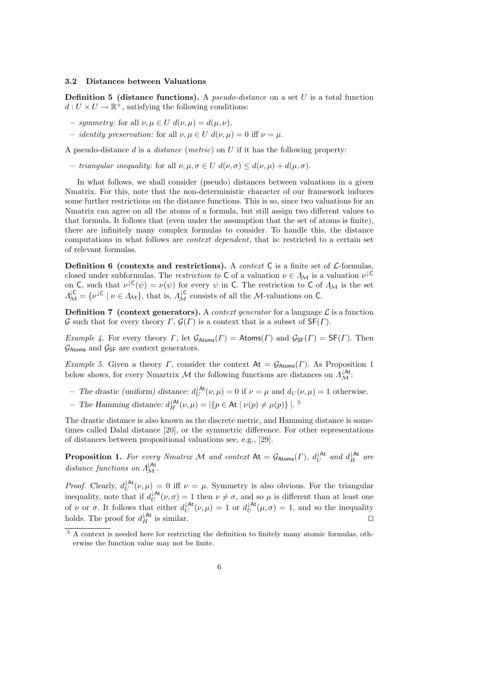### 3.2 Distances between Valuations

**Definition 5 (distance functions).** A *pseudo-distance* on a set  $U$  is a total function  $d: U \times U \to \mathbb{R}^+$ , satisfying the following conditions:

- symmetry: for all  $\nu, \mu \in U$   $d(\nu, \mu) = d(\mu, \nu),$
- *identity preservation:* for all  $\nu, u \in U$   $d(\nu, u) = 0$  iff  $\nu = u$ .

A pseudo-distance  $d$  is a *distance* (*metric*) on  $U$  if it has the following property:

– triangular inequality: for all  $\nu, \mu, \sigma \in U$   $d(\nu, \sigma) \leq d(\nu, \mu) + d(\mu, \sigma)$ .

In what follows, we shall consider (pseudo) distances between valuations in a given Nmatrix. For this, note that the non-deterministic character of our framework induces some further restrictions on the distance functions. This is so, since two valuations for an Nmatrix can agree on all the atoms of a formula, but still assign two different values to that formula. It follows that (even under the assumption that the set of atoms is finite), there are infinitely many complex formulas to consider. To handle this, the distance computations in what follows are context dependent, that is: restricted to a certain set of relevant formulas.

Definition 6 (contexts and restrictions). A *context*  $C$  is a finite set of  $\mathcal{L}$ -formulas, closed under subformulas. The *restriction to* C of a valuation  $\nu \in A_{\mathcal{M}}$  is a valuation  $\nu^{\downarrow \mathsf{C}}$ on C, such that  $\nu^{\downarrow}(\psi) = \nu(\psi)$  for every  $\psi$  in C. The restriction to C of  $\Lambda_M$  is the set  $A_{\mathcal{M}}^{\mathcal{L}} = \{ \nu^{\mathcal{L}} \mid \nu \in A_{\mathcal{M}} \},\$  that is,  $A_{\mathcal{M}}^{\mathcal{L}}$  consists of all the M-valuations on C.

**Definition 7** (context generators). A *context generator* for a language  $\mathcal{L}$  is a function G such that for every theory  $\Gamma$ ,  $\mathcal{G}(\Gamma)$  is a context that is a subset of  $\mathsf{SF}(\Gamma)$ .

Example 4. For every theory  $\Gamma$ , let  $\mathcal{G}_{\text{Atoms}}(\Gamma) = \text{Atoms}(\Gamma)$  and  $\mathcal{G}_{\text{SF}}(\Gamma) = \text{SF}(\Gamma)$ . Then  $\mathcal{G}_{\text{Atoms}}$  and  $\mathcal{G}_{\text{SF}}$  are context generators.

Example 5. Given a theory Γ, consider the context  $At = \mathcal{G}_{\text{Atoms}}(F)$ . As Proposition 1 below shows, for every Nmartrix M the following functions are distances on  $\Lambda_{\mathcal{M}}^{\downarrow \text{At}}$ :

- The drastic (uniform) distance:  $d_U^{\mu \mathbf{A} \mathbf{t}}(\nu, \mu) = 0$  if  $\nu = \mu$  and  $d_U(\nu, \mu) = 1$  otherwise.
- The Hamming distance:  $d_H^{\downarrow \text{At}}(\nu, \mu) = |\{p \in \text{At} \mid \nu(p) \neq \mu(p)\}|.$ <sup>5</sup>

The drastic distance is also known as the discrete metric, and Hamming distance is sometimes called Dalal distance [20], or the symmetric difference. For other representations of distances between propositional valuations see, e.g., [29].

**Proposition 1.** For every Nmatrix M and context  $At = \mathcal{G}_{Atoms}(\Gamma)$ ,  $d_U^{\downarrow At}$  and  $d_H^{\downarrow At}$  are distance functions on  $\Lambda_{\mathcal{M}}^{\downarrow \mathsf{At}}$ .

*Proof.* Clearly,  $d_U^{\dagger \mathbf{At}}(\nu, \mu) = 0$  iff  $\nu = \mu$ . Symmetry is also obvious. For the triangular inequality, note that if  $d_U^{\text{lat}}(\nu, \sigma) = 1$  then  $\nu \neq \sigma$ , and so  $\mu$  is different than at least one of  $\nu$  or  $\sigma$ . It follows that either  $d_U^{\text{1At}}(\nu,\mu) = 1$  or  $d_U^{\text{1At}}(\mu,\sigma) = 1$ , and so the inequality holds. The proof for  $d_H^{\downarrow \mathbf{At}}$  is similar.

<sup>5</sup> A context is needed here for restricting the definition to finitely many atomic formulas, otherwise the function value may not be finite.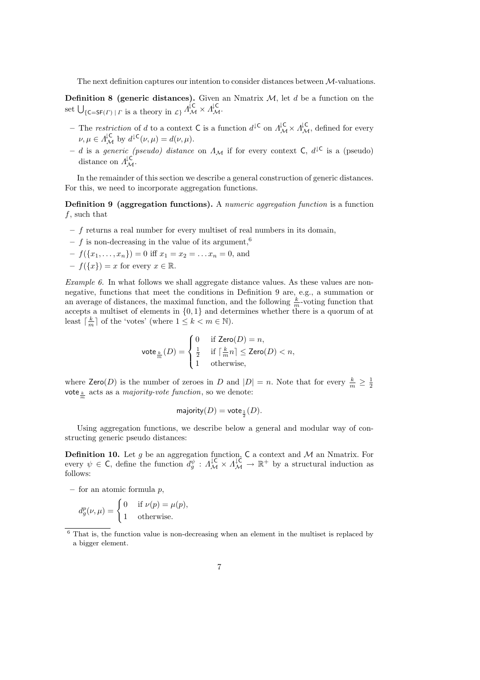The next definition captures our intention to consider distances between M-valuations.

**Definition 8 (generic distances).** Given an Nmatrix  $M$ , let d be a function on the **Definition** of (generic distances). Given set  $\bigcup_{\{C=SF(T) \mid \Gamma \text{ is a theory in } \mathcal{L}\}} A_{\mathcal{M}}^{\mathcal{LC}} \times A_{\mathcal{M}}^{\mathcal{LC}}$ .

- The restriction of d to a context C is a function  $d^{\mathcal{L}}$  on  $A^{\mathcal{L}}_{\mathcal{M}} \times A^{\mathcal{L}}_{\mathcal{M}}$ , defined for every  $\nu, \mu \in \Lambda_{\mathcal{M}}^{\mathcal{L}}$  by  $d^{\mathcal{L}}(\nu, \mu) = d(\nu, \mu)$ .
- d is a generic (pseudo) distance on  $\Lambda_M$  if for every context C,  $d^{\downarrow C}$  is a (pseudo) distance on  $\Lambda_{\mathcal{M}}^{\mathcal{C}}$ .

In the remainder of this section we describe a general construction of generic distances. For this, we need to incorporate aggregation functions.

Definition 9 (aggregation functions). A numeric aggregation function is a function f, such that

- $f$  returns a real number for every multiset of real numbers in its domain,
- f is non-decreasing in the value of its argument,<sup>6</sup>
- $-f(\{x_1,\ldots,x_n\})=0$  iff  $x_1=x_2=\ldots x_n=0$ , and
- $-f(\lbrace x \rbrace) = x$  for every  $x \in \mathbb{R}$ .

Example 6. In what follows we shall aggregate distance values. As these values are nonnegative, functions that meet the conditions in Definition 9 are, e.g., a summation or an average of distances, the maximal function, and the following  $\frac{k}{m}$ -voting function that accepts a multiset of elements in {0, 1} and determines whether there is a quorum of at least  $\lceil \frac{k}{m} \rceil$  of the 'votes' (where  $1 \leq k < m \in \mathbb{N}$ ).

$$
\text{vote}_{\frac{k}{m}}(D) = \begin{cases} 0 & \text{if } \mathsf{Zero}(D) = n, \\ \frac{1}{2} & \text{if } \lceil \frac{k}{m} n \rceil \le \mathsf{Zero}(D) < n, \\ 1 & \text{otherwise,} \end{cases}
$$

where  $\textsf{Zero}(D)$  is the number of zeroes in D and  $|D| = n$ . Note that for every  $\frac{k}{m} \geq \frac{1}{2}$ vote  $\frac{k}{m}$  acts as a *majority-vote function*, so we denote:

$$
\mathsf{majority}(D) = \mathsf{vote}_{\frac{1}{2}}(D).
$$

Using aggregation functions, we describe below a general and modular way of constructing generic pseudo distances:

**Definition 10.** Let g be an aggregation function,  $C$  a context and  $M$  an Nmatrix. For every  $\psi \in \mathsf{C}$ , define the function  $d_g^{\psi}: A_{\mathcal{M}}^{\mathcal{L}} \times A_{\mathcal{M}}^{\mathcal{L}} \to \mathbb{R}^+$  by a structural induction as follows:

– for an atomic formula  $p$ ,

$$
d_g^p(\nu,\mu) = \begin{cases} 0 & \text{if } \nu(p) = \mu(p), \\ 1 & \text{otherwise.} \end{cases}
$$

 $6$  That is, the function value is non-decreasing when an element in the multiset is replaced by a bigger element.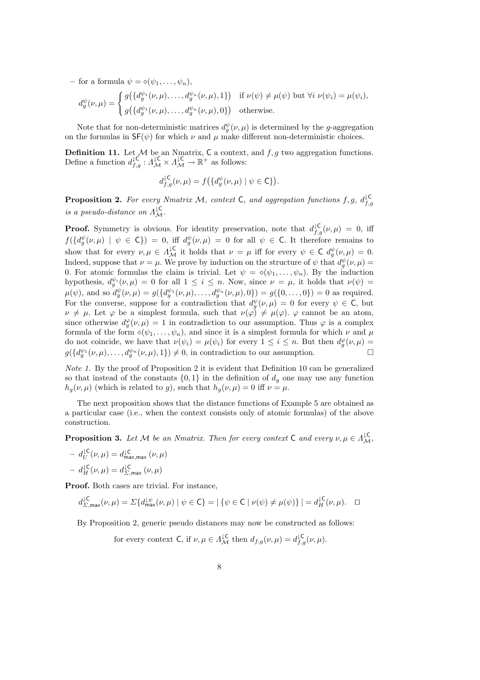– for a formula  $\psi = \diamond(\psi_1, \ldots, \psi_n),$ 

$$
d_g^{\psi}(\nu,\mu) = \begin{cases} g\big(\{d_g^{\psi_1}(\nu,\mu),\ldots,d_g^{\psi_n}(\nu,\mu),1\}\big) & \text{if } \nu(\psi) \neq \mu(\psi) \text{ but } \forall i \ \nu(\psi_i) = \mu(\psi_i), \\ g\big(\{d_g^{\psi_1}(\nu,\mu),\ldots,d_g^{\psi_n}(\nu,\mu),0\}\big) & \text{otherwise.} \end{cases}
$$

Note that for non-deterministic matrices  $d_g^{\psi}(\nu,\mu)$  is determined by the g-aggregation on the formulas in  $\mathsf{SF}(\psi)$  for which  $\nu$  and  $\mu$  make different non-deterministic choices.

**Definition 11.** Let  $M$  be an Nmatrix, C a context, and  $f, g$  two aggregation functions. Define a function  $d_{f,g}^{\downarrow \mathsf{C}} : \Lambda_{\mathcal{M}}^{\downarrow \mathsf{C}} \times \Lambda_{\mathcal{M}}^{\downarrow \mathsf{C}} \to \mathbb{R}^+$  as follows:

$$
d_{f,g}^{\downarrow \mathsf{C}}(\nu,\mu) = f\big(\{d_g^{\psi}(\nu,\mu) \mid \psi \in \mathsf{C}\}\big).
$$

**Proposition 2.** For every Nmatrix M, context C, and aggregation functions  $f, g, d_{f,g}^{\mathcal{C}}$ is a pseudo-distance on  $\Lambda_{\mathcal{M}}^{\downarrow \mathsf{C}}$ .

**Proof.** Symmetry is obvious. For identity preservation, note that  $d_{f,g}^{\downarrow \mathsf{C}}(\nu,\mu) = 0$ , iff  $f({d_g^{\psi}(\nu,\mu)} \mid \psi \in C)$  = 0, iff  $d_g^{\psi}(\nu,\mu) = 0$  for all  $\psi \in C$ . It therefore remains to show that for every  $\nu, \mu \in \Lambda_{\mathcal{M}}^{\mathcal{L}}$  it holds that  $\nu = \mu$  iff for every  $\psi \in \mathsf{C} d_g^{\psi}(\nu, \mu) = 0$ . Indeed, suppose that  $\nu = \mu$ . We prove by induction on the structure of  $\psi$  that  $d_g^{\psi}(\nu,\mu) =$ 0. For atomic formulas the claim is trivial. Let  $\psi = \diamond(\psi_1, \ldots, \psi_n)$ . By the induction hypothesis,  $d_g^{\psi_i}(\nu,\mu) = 0$  for all  $1 \leq i \leq n$ . Now, since  $\nu = \mu$ , it holds that  $\nu(\psi) =$  $\mu(\psi)$ , and so  $d_g^{\psi}(\nu,\mu) = g(\{d_g^{\psi_1}(\nu,\mu),\ldots,d_g^{\psi_n}(\nu,\mu),0\}) = g(\{0,\ldots,0\}) = 0$  as required. For the converse, suppose for a contradiction that  $d_g^{\psi}(\nu,\mu) = 0$  for every  $\psi \in \mathsf{C}$ , but  $\nu \neq \mu$ . Let  $\varphi$  be a simplest formula, such that  $\nu(\varphi) \neq \mu(\varphi)$ .  $\varphi$  cannot be an atom, since otherwise  $d_g^{\varphi}(\nu,\mu) = 1$  in contradiction to our assumption. Thus  $\varphi$  is a complex formula of the form  $\circ(\psi_1, \ldots, \psi_n)$ , and since it is a simplest formula for which  $\nu$  and  $\mu$ do not coincide, we have that  $\nu(\psi_i) = \mu(\psi_i)$  for every  $1 \leq i \leq n$ . But then  $d_g^{\varphi}(\nu,\mu) =$  $g({d_g^{\psi_1}(\nu,\mu),\ldots,d_g^{\psi_n}(\nu,\mu),1})\neq 0$ , in contradiction to our assumption.

Note 1. By the proof of Proposition 2 it is evident that Definition 10 can be generalized so that instead of the constants  $\{0, 1\}$  in the definition of  $d<sub>q</sub>$  one may use any function  $h_q(\nu,\mu)$  (which is related to g), such that  $h_q(\nu,\mu) = 0$  iff  $\nu = \mu$ .

The next proposition shows that the distance functions of Example 5 are obtained as a particular case (i.e., when the context consists only of atomic formulas) of the above construction.

**Proposition 3.** Let M be an Nmatrix. Then for every context C and every  $\nu, \mu \in \Lambda_{\mathcal{M}}^{\downarrow \mathsf{C}}$ ,

$$
- d_U^{1C}(\nu, \mu) = d_{\text{max,max}}^{1C}(\nu, \mu)
$$

$$
- d_H^{1C}(\nu, \mu) = d_{\Sigma, \text{max}}^{1C}(\nu, \mu)
$$

 $\overline{c}$ 

Proof. Both cases are trivial. For instance,

$$
d_{\Sigma,\max}^{\downarrow\mathsf{C}}(\nu,\mu) = \Sigma \{ d_{\max}^{\downarrow\psi}(\nu,\mu) \mid \psi \in \mathsf{C} \} = |\{ \psi \in \mathsf{C} \mid \nu(\psi) \neq \mu(\psi) \}| = d_H^{\downarrow\mathsf{C}}(\nu,\mu). \quad \Box
$$

By Proposition 2, generic pseudo distances may now be constructed as follows:

for every context C, if  $\nu, \mu \in \Lambda^{\downarrow \mathsf{C}}_{\mathcal{M}}$  then  $d_{f,g}(\nu, \mu) = d_{f,g}^{\downarrow \mathsf{C}}(\nu, \mu)$ .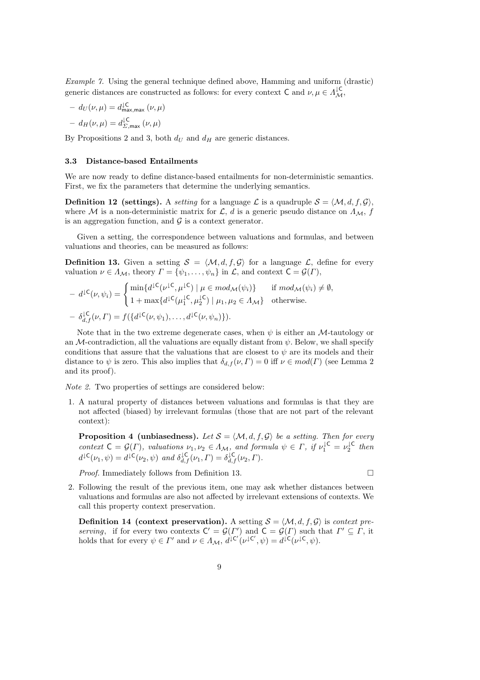Example 7. Using the general technique defined above, Hamming and uniform (drastic) generic distances are constructed as follows: for every context  $C$  and  $\nu, \mu \in \Lambda_{\mathcal{M}}^{\downarrow C}$ ,

$$
- d_U(\nu, \mu) = d_{\max, \max}^{\downarrow \mathsf{C}} (\nu, \mu)
$$

$$
- d_H(\nu, \mu) = d_{\Sigma, \max}^{\downarrow \mathsf{C}} (\nu, \mu)
$$

By Propositions 2 and 3, both  $d_U$  and  $d_H$  are generic distances.

### 3.3 Distance-based Entailments

We are now ready to define distance-based entailments for non-deterministic semantics. First, we fix the parameters that determine the underlying semantics.

**Definition 12 (settings).** A setting for a language L is a quadruple  $S = \langle M, d, f, \mathcal{G} \rangle$ , where M is a non-deterministic matrix for  $\mathcal{L}$ , d is a generic pseudo distance on  $\Lambda_{\mathcal{M}}$ , f is an aggregation function, and  $\mathcal G$  is a context generator.

Given a setting, the correspondence between valuations and formulas, and between valuations and theories, can be measured as follows:

**Definition 13.** Given a setting  $S = \langle M, d, f, \mathcal{G} \rangle$  for a language  $\mathcal{L}$ , define for every valuation  $\nu \in \Lambda_M$ , theory  $\Gamma = {\psi_1, \ldots, \psi_n}$  in  $\mathcal{L}$ , and context  $\mathsf{C} = \mathcal{G}(\Gamma)$ ,

$$
- d^{LC}(\nu, \psi_i) = \begin{cases} \min \{ d^{LC}(\nu^{LC}, \mu^{LC}) \mid \mu \in \text{mod}_{\mathcal{M}}(\psi_i) \} & \text{if } \text{mod}_{\mathcal{M}}(\psi_i) \neq \emptyset, \\ 1 + \max \{ d^{LC}(\mu_1^{LC}, \mu_2^{LC}) \mid \mu_1, \mu_2 \in \Lambda_{\mathcal{M}} \} & \text{otherwise.} \end{cases}
$$
  

$$
- \delta_{d,f}^{LC}(\nu, \Gamma) = f(\{ d^{LC}(\nu, \psi_1), \dots, d^{LC}(\nu, \psi_n) \}).
$$

Note that in the two extreme degenerate cases, when  $\psi$  is either an M-tautology or an M-contradiction, all the valuations are equally distant from  $\psi$ . Below, we shall specify conditions that assure that the valuations that are closest to  $\psi$  are its models and their distance to  $\psi$  is zero. This also implies that  $\delta_{d,f}(\nu,\Gamma)=0$  iff  $\nu \in mod(\Gamma)$  (see Lemma 2) and its proof).

Note 2. Two properties of settings are considered below:

1. A natural property of distances between valuations and formulas is that they are not affected (biased) by irrelevant formulas (those that are not part of the relevant context):

**Proposition 4 (unbiasedness).** Let  $S = \langle M, d, f, \mathcal{G} \rangle$  be a setting. Then for every context  $C = \mathcal{G}(\Gamma)$ , valuations  $\nu_1, \nu_2 \in \Lambda_M$ , and formula  $\psi \in \Gamma$ , if  $\nu_1^{\downarrow C} = \nu_2^{\downarrow C}$  then  $d^{\downarrow \mathsf{C}}(\nu_1, \psi) = d^{\downarrow \mathsf{C}}(\nu_2, \psi)$  and  $\delta_{d,f}^{\downarrow \mathsf{C}}(\nu_1, \Gamma) = \delta_{d,f}^{\downarrow \mathsf{C}}(\nu_2, \Gamma)$ .

Proof. Immediately follows from Definition 13.

2. Following the result of the previous item, one may ask whether distances between valuations and formulas are also not affected by irrelevant extensions of contexts. We call this property context preservation.

**Definition 14 (context preservation).** A setting  $S = \langle M, d, f, \mathcal{G} \rangle$  is context preserving, if for every two contexts  $C' = \mathcal{G}(\Gamma')$  and  $C = \mathcal{G}(\Gamma)$  such that  $\Gamma' \subseteq \Gamma$ , it holds that for every  $\psi \in \Gamma'$  and  $\nu \in \Lambda_{\mathcal{M}}, d^{\downarrow}C'(\nu^{\downarrow}C', \psi) = d^{\downarrow}C(\nu^{\downarrow}C, \psi).$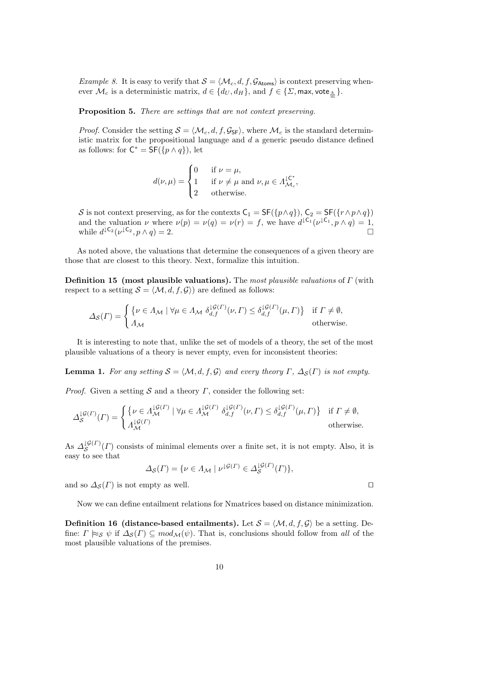Example 8. It is easy to verify that  $S = \langle \mathcal{M}_c, d, f, \mathcal{G}_{\text{Atoms}} \rangle$  is context preserving whenever  $\mathcal{M}_c$  is a deterministic matrix,  $d \in \{d_U, d_H\}$ , and  $f \in \{\Sigma, \max, \text{vote}_{\frac{k}{m}}\}.$ 

Proposition 5. There are settings that are not context preserving.

*Proof.* Consider the setting  $S = \langle \mathcal{M}_c, d, f, \mathcal{G}_{SF} \rangle$ , where  $\mathcal{M}_c$  is the standard deterministic matrix for the propositional language and  $d$  a generic pseudo distance defined as follows: for  $C^* = SF(\lbrace p \wedge q \rbrace)$ , let

$$
d(\nu,\mu) = \begin{cases} 0 & \text{if } \nu = \mu, \\ 1 & \text{if } \nu \neq \mu \text{ and } \nu, \mu \in \Lambda_{\mathcal{M}_c}^{\mathcal{IC}^*}, \\ 2 & \text{otherwise.} \end{cases}
$$

S is not context preserving, as for the contexts  $C_1 = SF(\lbrace p \wedge q \rbrace)$ ,  $C_2 = SF(\lbrace r \wedge p \wedge q \rbrace)$ and the valuation  $\nu$  where  $\nu(p) = \nu(q) = \nu(r) = f$ , we have  $d^{\downarrow}C_1(\nu^{\downarrow}C_1, p \wedge q) = 1$ , while  $d^{\downarrow}C_2(\nu^{\downarrow}C_2, p \wedge q) = 2.$ 

As noted above, the valuations that determine the consequences of a given theory are those that are closest to this theory. Next, formalize this intuition.

**Definition 15** (most plausible valuations). The most plausible valuations of  $\Gamma$  (with respect to a setting  $S = \langle M, d, f, \mathcal{G} \rangle$  are defined as follows:

$$
\Delta_{\mathcal{S}}(\Gamma) = \begin{cases} \{ \nu \in \Lambda_{\mathcal{M}} \mid \forall \mu \in \Lambda_{\mathcal{M}} \ \delta_{d,f}^{\downarrow \mathcal{G}(\Gamma)}(\nu, \Gamma) \leq \delta_{d,f}^{\downarrow \mathcal{G}(\Gamma)}(\mu, \Gamma) \} & \text{if } \Gamma \neq \emptyset, \\ \Lambda_{\mathcal{M}} & \text{otherwise.} \end{cases}
$$

It is interesting to note that, unlike the set of models of a theory, the set of the most plausible valuations of a theory is never empty, even for inconsistent theories:

**Lemma 1.** For any setting  $S = \langle M, d, f, \mathcal{G} \rangle$  and every theory Γ,  $\Delta_S(\Gamma)$  is not empty.

*Proof.* Given a setting S and a theory  $\Gamma$ , consider the following set:

$$
\varDelta_{\mathcal{S}}^{\downarrow\mathcal{G}(\varGamma)}(\varGamma)=\begin{cases} \big\{\nu\in\varLambda_{\mathcal{M}}^{\downarrow\mathcal{G}(\varGamma)}\mid\forall\mu\in\varLambda_{\mathcal{M}}^{\downarrow\mathcal{G}(\varGamma)}\;\delta_{d,f}^{\downarrow\mathcal{G}(\varGamma)}(\nu,\varGamma)\leq\delta_{d,f}^{\downarrow\mathcal{G}(\varGamma)}(\mu,\varGamma)\big\} &\text{if }\varGamma\neq\emptyset,\\ \varLambda_{\mathcal{M}}^{\downarrow\mathcal{G}(\varGamma)} &\text{otherwise.}\end{cases}
$$

As  $\Delta_S^{\downarrow \mathcal{G}(\varGamma)}$  $S^{19(I)}(T)$  consists of minimal elements over a finite set, it is not empty. Also, it is easy to see that

$$
\Delta_{\mathcal{S}}(\Gamma) = \{ \nu \in \Lambda_{\mathcal{M}} \mid \nu^{\downarrow \mathcal{G}(\Gamma)} \in \Delta_{\mathcal{S}}^{\downarrow \mathcal{G}(\Gamma)}(\Gamma) \},
$$

and so  $\Delta_{\mathcal{S}}(\Gamma)$  is not empty as well.

Now we can define entailment relations for Nmatrices based on distance minimization.

**Definition 16 (distance-based entailments).** Let  $S = \langle M, d, f, \mathcal{G} \rangle$  be a setting. Define:  $\Gamma \approx_{\mathcal{S}} \psi$  if  $\Delta_{\mathcal{S}}(\Gamma) \subseteq mod_{\mathcal{M}}(\psi)$ . That is, conclusions should follow from all of the most plausible valuations of the premises.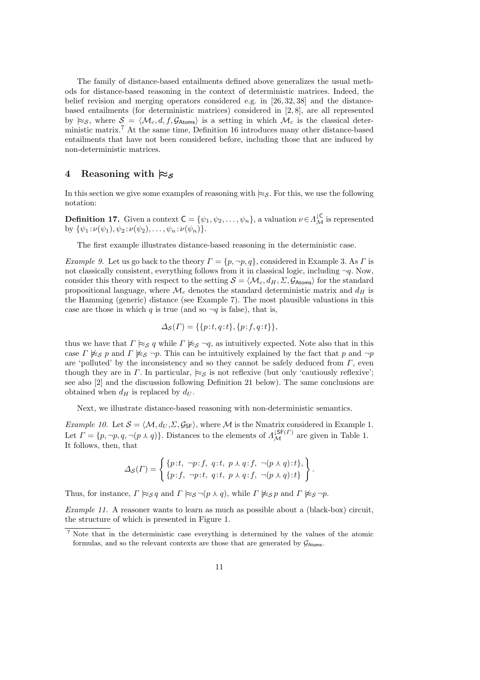The family of distance-based entailments defined above generalizes the usual methods for distance-based reasoning in the context of deterministic matrices. Indeed, the belief revision and merging operators considered e.g. in [26, 32, 38] and the distancebased entailments (for deterministic matrices) considered in [2, 8], are all represented by  $\approx_{\mathcal{S}}$ , where  $\mathcal{S} = \langle \mathcal{M}_c, d, f, \mathcal{G}_{\text{Atoms}} \rangle$  is a setting in which  $\mathcal{M}_c$  is the classical deterministic matrix.<sup>7</sup> At the same time, Definition 16 introduces many other distance-based entailments that have not been considered before, including those that are induced by non-deterministic matrices.

# 4 Reasoning with  $\approx$ s

In this section we give some examples of reasoning with  $\approx_S$ . For this, we use the following notation:

**Definition 17.** Given a context  $C = {\psi_1, \psi_2, \dots, \psi_n}$ , a valuation  $\nu \in \Lambda^{\downarrow C}_{\mathcal{M}}$  is represented by  $\{\psi_1 : \nu(\psi_1), \psi_2 : \nu(\psi_2), \ldots, \psi_n : \nu(\psi_n)\}.$ 

The first example illustrates distance-based reasoning in the deterministic case.

*Example 9.* Let us go back to the theory  $\Gamma = \{p, \neg p, q\}$ , considered in Example 3. As  $\Gamma$  is not classically consistent, everything follows from it in classical logic, including  $\neg q$ . Now, consider this theory with respect to the setting  $S = \langle \mathcal{M}_c, d_H, \Sigma, \mathcal{G}_{\text{Atoms}} \rangle$  for the standard propositional language, where  $\mathcal{M}_c$  denotes the standard deterministic matrix and  $d_H$  is the Hamming (generic) distance (see Example 7). The most plausible valuations in this case are those in which q is true (and so  $\neg q$  is false), that is,

$$
\Delta_{\mathcal{S}}(\Gamma) = \{ \{p:t, q:t\}, \{p:f, q:t\} \},\
$$

thus we have that  $\Gamma \approx_{\mathcal{S}} q$  while  $\Gamma \not\approx_{\mathcal{S}} \neg q$ , as intuitively expected. Note also that in this case  $\Gamma \not\approx_{\mathcal{S}} p$  and  $\Gamma \not\approx_{\mathcal{S}} \neg p$ . This can be intuitively explained by the fact that p and  $\neg p$ are 'polluted' by the inconsistency and so they cannot be safely deduced from  $\Gamma$ , even though they are in  $\Gamma$ . In particular,  $\approx_{\mathcal{S}}$  is not reflexive (but only 'cautiously reflexive'; see also [2] and the discussion following Definition 21 below). The same conclusions are obtained when  $d_H$  is replaced by  $d_U$ .

Next, we illustrate distance-based reasoning with non-deterministic semantics.

Example 10. Let  $S = \langle M, d_U, \Sigma, \mathcal{G}_{\text{SF}}\rangle$ , where M is the Nmatrix considered in Example 1. Let  $\Gamma = \{p, \neg p, q, \neg(p \land q)\}\.$  Distances to the elements of  $\Lambda_{\mathcal{M}}^{\mathsf{JSF}(T)}$  are given in Table 1. It follows, then, that

$$
\Delta_{\mathcal{S}}(\Gamma) = \begin{cases} \{p:t, \neg p: f, q:t, p \curlywedge q: f, \neg (p \curlywedge q): t\}, \\ \{p: f, \neg p: t, q:t, p \curlywedge q: f, \neg (p \curlywedge q): t\} \end{cases}.
$$

Thus, for instance,  $\Gamma \not\approx_{S} q$  and  $\Gamma \not\approx_{S} \neg (p \wedge q)$ , while  $\Gamma \not\approx_{S} p$  and  $\Gamma \not\approx_{S} \neg p$ .

Example 11. A reasoner wants to learn as much as possible about a (black-box) circuit, the structure of which is presented in Figure 1.

<sup>7</sup> Note that in the deterministic case everything is determined by the values of the atomic formulas, and so the relevant contexts are those that are generated by  $\mathcal{G}_{\text{Atoms}}$ .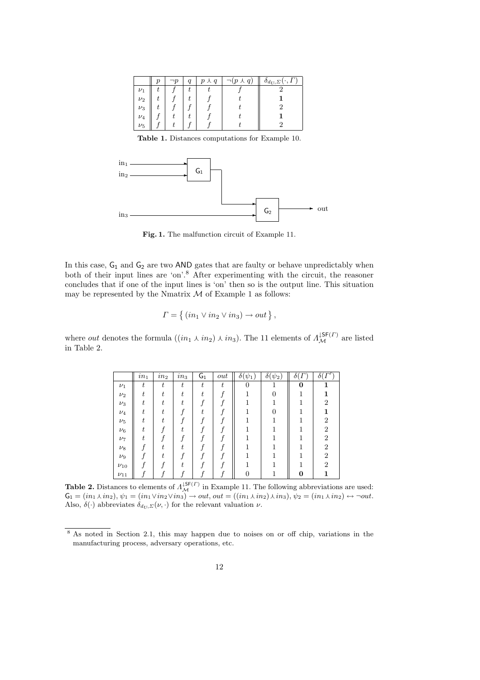|         | $\neg p$ | $p \wedge q$ | $\neg(p \downarrow)$<br>q) | $\partial_{d_U,\Sigma}(\cdot,\Gamma)$ |
|---------|----------|--------------|----------------------------|---------------------------------------|
| $\nu_1$ |          |              |                            |                                       |
| $\nu_2$ |          |              |                            |                                       |
| $\nu_3$ |          |              |                            |                                       |
| $\nu_4$ |          |              |                            |                                       |
| $\nu_5$ |          |              |                            |                                       |

Table 1. Distances computations for Example 10.



Fig. 1. The malfunction circuit of Example 11.

In this case,  $G_1$  and  $G_2$  are two AND gates that are faulty or behave unpredictably when both of their input lines are 'on'.<sup>8</sup> After experimenting with the circuit, the reasoner concludes that if one of the input lines is 'on' then so is the output line. This situation may be represented by the Nmatrix  $M$  of Example 1 as follows:

$$
\Gamma = \{ (in_1 \vee in_2 \vee in_3) \rightarrow out \},\
$$

where *out* denotes the formula  $((in_1 \wedge in_2) \wedge in_3)$ . The 11 elements of  $\Lambda_{\mathcal{M}}^{1\text{SF}(T)}$  are listed in Table 2.

|            | $\,in_1$ | $\operatorname{in}_2$ | $\,in_3$ | $G_1$ | $_{out}$ | $\delta(\psi_1)$ | $\overline{\delta(\psi_2)}$ | $\delta(\Gamma)$ | $\delta(\Gamma')$ |
|------------|----------|-----------------------|----------|-------|----------|------------------|-----------------------------|------------------|-------------------|
| $\nu_1$    | t        | t                     | t        | t     | t.       | $\Omega$         |                             | $\bf{0}$         |                   |
| $\nu_2$    | ÷        | t                     | ÷        |       |          |                  |                             |                  |                   |
| $\nu_3$    |          | t.                    |          |       |          |                  |                             |                  | റ                 |
| $\nu_4$    |          | ÷                     |          |       |          |                  | 0                           |                  |                   |
| $\nu_5$    |          | +                     |          |       |          |                  |                             |                  | റ                 |
| $\nu_6$    |          |                       |          |       |          |                  |                             |                  | າ                 |
| $\nu_7$    |          |                       |          |       |          |                  |                             |                  | ົ                 |
| $\nu_8$    |          | ,                     |          |       |          |                  |                             |                  | 2                 |
| $\nu_9$    |          |                       |          |       |          |                  |                             |                  | 2                 |
| $\nu_{10}$ |          |                       |          |       |          |                  |                             |                  | റ                 |
| $\nu_{11}$ |          |                       |          |       |          |                  |                             |                  |                   |

**Table 2.** Distances to elements of  $\Lambda_{\mathcal{M}}^{\text{LSF}(T)}$  in Example 11. The following abbreviations are used:  $G_1 = (in_1 \times in_2), \psi_1 = (in_1 \vee in_2 \vee in_3) \rightarrow out, out = ((in_1 \times in_2) \times in_3), \psi_2 = (in_1 \times in_2) \leftrightarrow \neg out.$ Also,  $\delta(\cdot)$  abbreviates  $\delta_{d_U, \Sigma}(\nu, \cdot)$  for the relevant valuation  $\nu$ .

<sup>&</sup>lt;sup>8</sup> As noted in Section 2.1, this may happen due to noises on or off chip, variations in the manufacturing process, adversary operations, etc.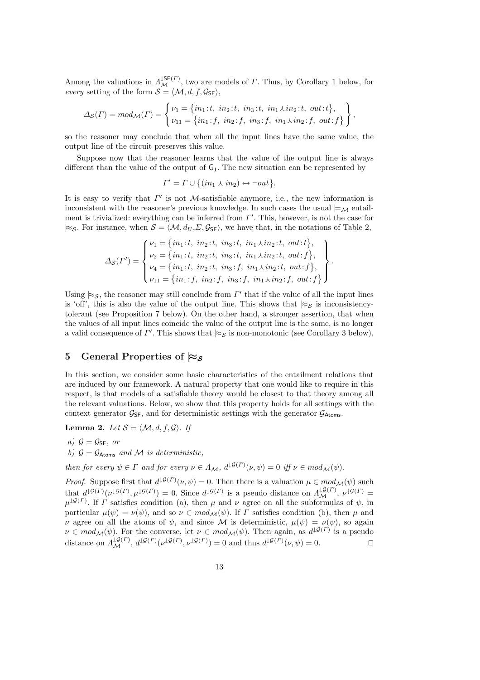Among the valuations in  $\Lambda_{\mathcal{M}}^{(\mathsf{S}\mathsf{F}(I))}$ , two are models of  $\Gamma$ . Thus, by Corollary 1 below, for every setting of the form  $S = \langle M, d, f, \mathcal{G}_{\text{SF}} \rangle$ ,

$$
\Delta_{\mathcal{S}}(\Gamma) = mod_{\mathcal{M}}(\Gamma) = \begin{cases} \nu_1 = \{in_1 : t, \ in_2 : t, \ in_3 : t, \ in_1 \lambda in_2 : t, \ out : t \}, \\ \nu_{11} = \{in_1 : f, \ in_2 : f, \ in_3 : f, \ in_1 \lambda in_2 : f, \ out : f \} \end{cases}
$$

,

.

so the reasoner may conclude that when all the input lines have the same value, the output line of the circuit preserves this value.

Suppose now that the reasoner learns that the value of the output line is always different than the value of the output of  $G_1$ . The new situation can be represented by

$$
\Gamma' = \Gamma \cup \{(in_1 \times in_2) \leftrightarrow \neg out\}.
$$

It is easy to verify that  $\Gamma'$  is not M-satisfiable anymore, i.e., the new information is inconsistent with the reasoner's previous knowledge. In such cases the usual  $\models_M$  entailment is trivialized: everything can be inferred from  $\Gamma'$ . This, however, is not the case for  $\approx_S$ . For instance, when  $S = \langle M, d_U, \Sigma, \mathcal{G}_{SF} \rangle$ , we have that, in the notations of Table 2,

$$
\Delta_{\mathcal{S}}(\Gamma') = \begin{cases} \nu_1 = \{in_1 : t, \ in_2 : t, \ in_3 : t, \ in_1 \lambda in_2 : t, \ out : t\}, \\ \nu_2 = \{in_1 : t, \ in_2 : t, \ in_3 : t, \ in_1 \lambda in_2 : t, \ out : f\}, \\ \nu_4 = \{in_1 : t, \ in_2 : t, \ in_3 : f, \ in_1 \lambda in_2 : t, \ out : f\}, \\ \nu_{11} = \{in_1 : f, \ in_2 : f, \ in_3 : f, \ in_1 \lambda in_2 : f, \ out : f\} \end{cases}
$$

Using  $\approx_{\mathcal{S}}$ , the reasoner may still conclude from  $\Gamma'$  that if the value of all the input lines is 'off', this is also the value of the output line. This shows that  $\approx_{\mathcal{S}}$  is inconsistencytolerant (see Proposition 7 below). On the other hand, a stronger assertion, that when the values of all input lines coincide the value of the output line is the same, is no longer a valid consequence of  $\Gamma'$ . This shows that  $\approx_{\mathcal{S}}$  is non-monotonic (see Corollary 3 below).

# 5 General Properties of  $\approx_{\mathcal{S}}$

In this section, we consider some basic characteristics of the entailment relations that are induced by our framework. A natural property that one would like to require in this respect, is that models of a satisfiable theory would be closest to that theory among all the relevant valuations. Below, we show that this property holds for all settings with the context generator  $\mathcal{G}_{SF}$ , and for deterministic settings with the generator  $\mathcal{G}_{Atoms}$ .

**Lemma 2.** Let  $S = \langle M, d, f, \mathcal{G} \rangle$ . If

a) 
$$
\mathcal{G} = \mathcal{G}_{\text{SF}}
$$
, or

b)  $\mathcal{G} = \mathcal{G}_{\text{Atoms}}$  and M is deterministic,

then for every  $\psi \in \Gamma$  and for every  $\nu \in \Lambda_M$ ,  $d^{\downarrow \mathcal{G}(\Gamma)}(\nu, \psi) = 0$  iff  $\nu \in mod_\mathcal{M}(\psi)$ .

*Proof.* Suppose first that  $d^{\downarrow \mathcal{G}(\Gamma)}(\nu, \psi) = 0$ . Then there is a valuation  $\mu \in mod_{\mathcal{M}}(\psi)$  such that  $d^{\downarrow \mathcal{G}(\Gamma)}(\nu^{\downarrow \mathcal{G}(\Gamma)},\mu^{\downarrow \mathcal{G}(\Gamma)})=0$ . Since  $d^{\downarrow \mathcal{G}(\Gamma)}$  is a pseudo distance on  $\Lambda_{\mathcal{M}}^{\downarrow \mathcal{G}(\Gamma)},\nu^{\downarrow \mathcal{G}(\Gamma)}=$  $\mu^{\downarrow \mathcal{G}(\Gamma)}$ . If  $\Gamma$  satisfies condition (a), then  $\mu$  and  $\nu$  agree on all the subformulas of  $\psi$ , in particular  $\mu(\psi) = \nu(\psi)$ , and so  $\nu \in mod_{\mathcal{M}}(\psi)$ . If  $\Gamma$  satisfies condition (b), then  $\mu$  and v agree on all the atoms of  $\psi$ , and since M is deterministic,  $\mu(\psi) = \nu(\psi)$ , so again  $\nu \in mod_{\mathcal{M}}(\psi)$ . For the converse, let  $\nu \in mod_{\mathcal{M}}(\psi)$ . Then again, as  $d^{\downarrow \mathcal{G}(\Gamma)}$  is a pseudo distance on  $\Lambda_{\mathcal{M}}^{\downarrow \mathcal{G}(\Gamma)}, d^{\downarrow \mathcal{G}(\Gamma)}(\nu^{\downarrow \mathcal{G}(\Gamma)}, \nu^{\downarrow \mathcal{G}(\Gamma)}) = 0$  and thus  $d^{\downarrow \mathcal{G}(\Gamma)}(\nu, \psi) = 0$ .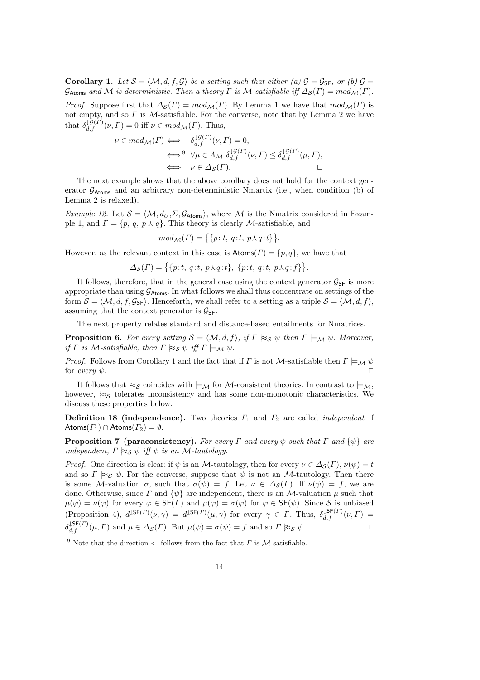**Corollary 1.** Let  $S = \langle M, d, f, \mathcal{G} \rangle$  be a setting such that either (a)  $\mathcal{G} = \mathcal{G}_{SF}$ , or (b)  $\mathcal{G} =$  $\mathcal{G}_{\text{Atoms}}$  and M is deterministic. Then a theory  $\Gamma$  is M-satisfiable iff  $\Delta_{\mathcal{S}}(\Gamma) = mod_{\mathcal{M}}(\Gamma)$ .

*Proof.* Suppose first that  $\Delta_{\mathcal{S}}(\Gamma) = mod_{\mathcal{M}}(\Gamma)$ . By Lemma 1 we have that  $mod_{\mathcal{M}}(\Gamma)$  is not empty, and so  $\Gamma$  is  $\mathcal M$ -satisfiable. For the converse, note that by Lemma 2 we have that  $\delta_{d,f}^{\downarrow\mathcal{G}(\Gamma)}(\nu,\Gamma)=0$  iff  $\nu\in mod_{\mathcal{M}}(\Gamma)$ . Thus,

$$
\nu \in mod_{\mathcal{M}}(\Gamma) \iff \delta_{d,f}^{\downarrow \mathcal{G}(\Gamma)}(\nu, \Gamma) = 0,
$$
  

$$
\iff^9 \forall \mu \in \Lambda_{\mathcal{M}} \delta_{d,f}^{\downarrow \mathcal{G}(\Gamma)}(\nu, \Gamma) \leq \delta_{d,f}^{\downarrow \mathcal{G}(\Gamma)}(\mu, \Gamma),
$$
  

$$
\iff \nu \in \Delta_{\mathcal{S}}(\Gamma).
$$

The next example shows that the above corollary does not hold for the context generator  $\mathcal{G}_{\text{Atoms}}$  and an arbitrary non-deterministic Nmartix (i.e., when condition (b) of Lemma 2 is relaxed).

Example 12. Let  $S = \langle M, d_U, \Sigma, \mathcal{G}_{\text{Atoms}}\rangle$ , where M is the Nmatrix considered in Example 1, and  $\Gamma = \{p, q, p \wedge q\}$ . This theory is clearly *M*-satisfiable, and

$$
mod_{\mathcal{M}}(\Gamma) = \{ \{p: t, q: t, p \curlywedge q: t \} \}.
$$

However, as the relevant context in this case is  $\text{Atoms}(\Gamma) = \{p, q\}$ , we have that

 $\Delta_{\mathcal{S}}(\Gamma) = \big\{ \{p:t, q:t, p\lambda q:t\}, \; \{p:t, q:t, p\lambda q:t\} \big\}$ ª .

It follows, therefore, that in the general case using the context generator  $\mathcal{G}_{SF}$  is more appropriate than using  $\mathcal{G}_{\text{Atoms}}$ . In what follows we shall thus concentrate on settings of the form  $S = \langle M, d, f, \mathcal{G}_{\text{SF}}\rangle$ . Henceforth, we shall refer to a setting as a triple  $S = \langle M, d, f \rangle$ , assuming that the context generator is  $\mathcal{G}_{\mathsf{SF}}$ .

The next property relates standard and distance-based entailments for Nmatrices.

**Proposition 6.** For every setting  $S = \langle M, d, f \rangle$ , if  $\Gamma \approx_S \psi$  then  $\Gamma \models_M \psi$ . Moreover, if  $\Gamma$  is M-satisfiable, then  $\Gamma \models_{\mathcal{S}} \psi$  iff  $\Gamma \models_{\mathcal{M}} \psi$ .

*Proof.* Follows from Corollary 1 and the fact that if  $\Gamma$  is not M-satisfiable then  $\Gamma \models_M \psi$ for every  $\psi$ .

It follows that  $\approx_{\mathcal{S}}$  coincides with  $\models_{\mathcal{M}}$  for M-consistent theories. In contrast to  $\models_{\mathcal{M}}$ , however,  $\approx_{\mathcal{S}}$  tolerates inconsistency and has some non-monotonic characteristics. We discuss these properties below.

**Definition 18 (independence).** Two theories  $\Gamma_1$  and  $\Gamma_2$  are called *independent* if Atoms( $\Gamma_1$ )  $\cap$  Atoms( $\Gamma_2$ ) =  $\emptyset$ .

**Proposition 7 (paraconsistency).** For every Γ and every  $\psi$  such that Γ and  $\{\psi\}$  are independent,  $\Gamma \approx_{\mathcal{S}} \psi$  iff  $\psi$  is an M-tautology.

*Proof.* One direction is clear: if  $\psi$  is an M-tautology, then for every  $\nu \in \Delta_{\mathcal{S}}(\Gamma)$ ,  $\nu(\psi) = t$ and so  $\Gamma \approx_{\mathcal{S}} \psi$ . For the converse, suppose that  $\psi$  is not an M-tautology. Then there is some M-valuation  $\sigma$ , such that  $\sigma(\psi) = f$ . Let  $\nu \in \Delta_{\mathcal{S}}(\Gamma)$ . If  $\nu(\psi) = f$ , we are done. Otherwise, since  $\varGamma$  and  $\{\psi\}$  are independent, there is an  $\mathcal M$ -valuation  $\mu$  such that  $\mu(\varphi) = \nu(\varphi)$  for every  $\varphi \in \mathsf{SF}(T)$  and  $\mu(\varphi) = \sigma(\varphi)$  for  $\varphi \in \mathsf{SF}(\psi)$ . Since S is unbiased (Proposition 4),  $d^{\downarrow \mathsf{SF}(T)}(\nu, \gamma) = d^{\downarrow \mathsf{SF}(T)}(\mu, \gamma)$  for every  $\gamma \in \Gamma$ . Thus,  $\delta_{d,f}^{\downarrow \mathsf{SF}(T)}(\nu, \Gamma) =$  $\delta_{d,f}^{|\mathsf{SF}(T)}(\mu, \Gamma)$  and  $\mu \in \Delta_{\mathcal{S}}(\Gamma)$ . But  $\mu(\psi) = \sigma(\psi) = f$  and so  $\Gamma \not\approx_{\mathcal{S}} \psi$ .

<sup>&</sup>lt;sup>9</sup> Note that the direction  $\Leftarrow$  follows from the fact that  $\Gamma$  is *M*-satisfiable.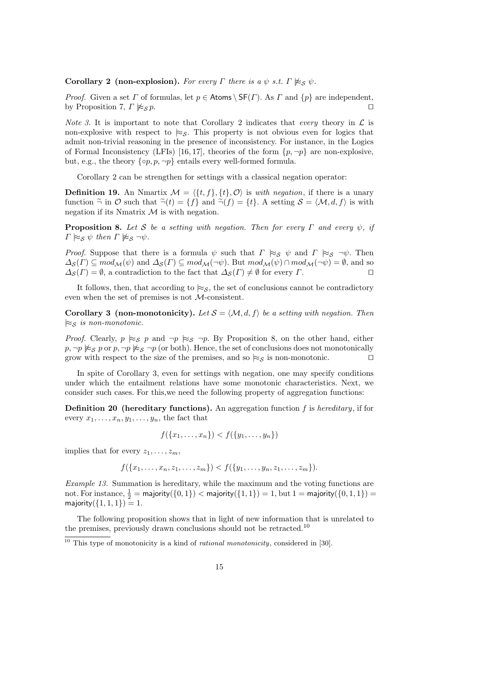### Corollary 2 (non-explosion). For every  $\Gamma$  there is a  $\psi$  s.t.  $\Gamma \not\approx_S \psi$ .

*Proof.* Given a set  $\Gamma$  of formulas, let  $p \in \mathsf{Atoms} \setminus \mathsf{SF}(\Gamma)$ . As  $\Gamma$  and  $\{p\}$  are independent, by Proposition 7,  $\Gamma \not\approx_{\mathcal{S}} p$ .

*Note 3.* It is important to note that Corollary 2 indicates that every theory in  $\mathcal{L}$  is non-explosive with respect to  $\approx_S$ . This property is not obvious even for logics that admit non-trivial reasoning in the presence of inconsistency. For instance, in the Logics of Formal Inconsistency (LFIs) [16, 17], theories of the form  $\{p, \neg p\}$  are non-explosive, but, e.g., the theory  $\{ \circ p, p, \neg p \}$  entails every well-formed formula.

Corollary 2 can be strengthen for settings with a classical negation operator:

**Definition 19.** An Nmartix  $\mathcal{M} = \langle \{t, f\}, \{t\}, \mathcal{O} \rangle$  is with negation, if there is a unary function  $\tilde{\neg}$  in  $\mathcal O$  such that  $\tilde{\neg}(t) = \{f\}$  and  $\tilde{\neg}(f) = \{t\}$ . A setting  $\mathcal S = \langle \mathcal M, d, f \rangle$  is with negation if its Nmatrix  $\mathcal M$  is with negation.

**Proposition 8.** Let S be a setting with negation. Then for every  $\Gamma$  and every  $\psi$ , if  $\Gamma \approx_{\mathcal{S}} \psi$  then  $\Gamma \not\approx_{\mathcal{S}} \neg \psi$ .

*Proof.* Suppose that there is a formula  $\psi$  such that  $\Gamma \approx_{\mathcal{S}} \psi$  and  $\Gamma \approx_{\mathcal{S}} \neg \psi$ . Then  $\Delta_{\mathcal{S}}(\Gamma) \subseteq \text{mod}_{\mathcal{M}}(\psi)$  and  $\Delta_{\mathcal{S}}(\Gamma) \subseteq \text{mod}_{\mathcal{M}}(\neg \psi)$ . But  $\text{mod}_{\mathcal{M}}(\psi) \cap \text{mod}_{\mathcal{M}}(\neg \psi) = \emptyset$ , and so  $\Delta_{\mathcal{S}}(\Gamma) = \emptyset$ , a contradiction to the fact that  $\Delta_{\mathcal{S}}(\Gamma) \neq \emptyset$  for every  $\Gamma$ .

It follows, then, that according to  $\approx_{\mathcal{S}}$ , the set of conclusions cannot be contradictory even when the set of premises is not  $\mathcal M\text{-consistent}.$ 

Corollary 3 (non-monotonicity). Let  $S = \langle M, d, f \rangle$  be a setting with negation. Then  $≈<sub>S</sub>$  is non-monotonic.

*Proof.* Clearly,  $p \approx_{\mathcal{S}} p$  and  $\neg p \approx_{\mathcal{S}} \neg p$ . By Proposition 8, on the other hand, either  $p, \neg p \not\approx_S p$  or  $p, \neg p \not\approx_S \neg p$  (or both). Hence, the set of conclusions does not monotonically grow with respect to the size of the premises, and so  $\approx$  is non-monotonic.  $\square$ 

In spite of Corollary 3, even for settings with negation, one may specify conditions under which the entailment relations have some monotonic characteristics. Next, we consider such cases. For this,we need the following property of aggregation functions:

**Definition 20** (hereditary functions). An aggregation function  $f$  is hereditary, if for every  $x_1, \ldots, x_n, y_1, \ldots, y_n$ , the fact that

$$
f(\{x_1,\ldots,x_n\}) < f(\{y_1,\ldots,y_n\})
$$

implies that for every  $z_1, \ldots, z_m$ ,

$$
f(\{x_1,\ldots,x_n,z_1,\ldots,z_m\}) < f(\{y_1,\ldots,y_n,z_1,\ldots,z_m\}).
$$

Example 13. Summation is hereditary, while the maximum and the voting functions are not. For instance,  $\frac{1}{2}$  = majority $(\{0,1\})$  < majority $(\{1,1\})=1$ , but  $1$  = majority $(\{0,1,1\})$  = majority $({1, 1, 1}) = 1$ .

The following proposition shows that in light of new information that is unrelated to the premises, previously drawn conclusions should not be retracted.<sup>10</sup>

<sup>&</sup>lt;sup>10</sup> This type of monotonicity is a kind of *rational monotonicity*, considered in [30].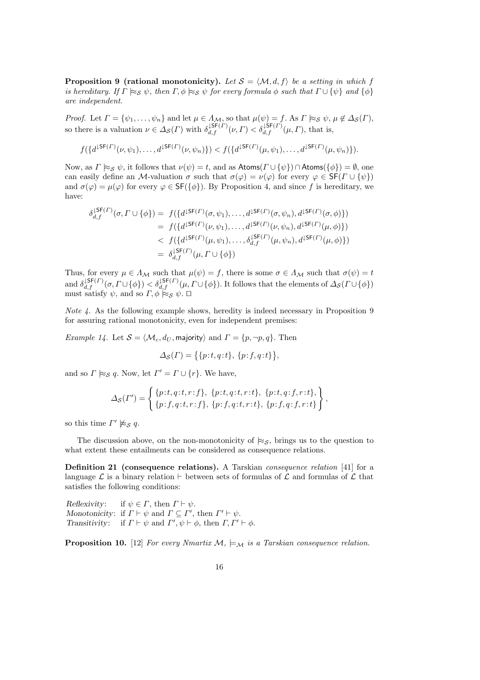**Proposition 9** (rational monotonicity). Let  $S = \langle M, d, f \rangle$  be a setting in which f is hereditary. If  $\Gamma \approx_{\mathcal{S}} \psi$ , then  $\Gamma, \phi \approx_{\mathcal{S}} \psi$  for every formula  $\phi$  such that  $\Gamma \cup {\psi}$  and  ${\phi}$ are independent.

*Proof.* Let  $\Gamma = {\psi_1, \ldots, \psi_n}$  and let  $\mu \in A_{\mathcal{M}}$ , so that  $\mu(\psi) = f$ . As  $\Gamma \models_{\mathcal{S}} \psi, \mu \notin \Delta_{\mathcal{S}}(\Gamma)$ , so there is a valuation  $\nu \in \Delta_{\mathcal{S}}(\Gamma)$  with  $\delta_{d,f}^{\downarrow \mathsf{SF}(\Gamma)}(\nu,\Gamma) < \delta_{d,f}^{\downarrow \mathsf{SF}(\Gamma)}(\mu,\Gamma)$ , that is,

$$
f(\{d^{\mathsf{JSF}(\varGamma)}(\nu,\psi_1),\ldots,d^{\mathsf{JSF}(\varGamma)}(\nu,\psi_n)\}) < f(\{d^{\mathsf{JSF}(\varGamma)}(\mu,\psi_1),\ldots,d^{\mathsf{JSF}(\varGamma)}(\mu,\psi_n)\}).
$$

Now, as  $\Gamma \models_{\mathcal{S}} \psi$ , it follows that  $\nu(\psi) = t$ , and as  $\text{Atoms}(\Gamma \cup {\psi}) \cap \text{Atoms}({\psi}) = \emptyset$ , one can easily define an M-valuation  $\sigma$  such that  $\sigma(\varphi) = \nu(\varphi)$  for every  $\varphi \in \mathsf{SF}(\Gamma \cup \{\psi\})$ and  $\sigma(\varphi) = \mu(\varphi)$  for every  $\varphi \in \mathsf{SF}(\{\phi\})$ . By Proposition 4, and since f is hereditary, we have:

$$
\delta_{d,f}^{\text{LSF}(T)}(\sigma, \Gamma \cup \{\phi\}) = f(\{d^{\text{LSF}(T)}(\sigma, \psi_1), \dots, d^{\text{LSF}(T)}(\sigma, \psi_n), d^{\text{LSF}(T)}(\sigma, \phi)\})
$$
\n
$$
= f(\{d^{\text{LSF}(T)}(\nu, \psi_1), \dots, d^{\text{LSF}(T)}(\nu, \psi_n), d^{\text{LSF}(T)}(\mu, \phi)\})
$$
\n
$$
< f(\{d^{\text{LSF}(T)}(\mu, \psi_1), \dots, \delta_{d,f}^{\text{LSF}(T)}(\mu, \psi_n), d^{\text{LSF}(T)}(\mu, \phi)\})
$$
\n
$$
= \delta_{d,f}^{\text{LSF}(T)}(\mu, \Gamma \cup \{\phi\})
$$

Thus, for every  $\mu \in \Lambda_{\mathcal{M}}$  such that  $\mu(\psi) = f$ , there is some  $\sigma \in \Lambda_{\mathcal{M}}$  such that  $\sigma(\psi) = t$ and  $\delta_{d,f}^{\text{1SF}}(\sigma, \Gamma \cup {\phi}) < \delta_{d,f}^{\text{1SF}}(\mu, \Gamma \cup {\phi}).$  It follows that the elements of  $\Delta_{\mathcal{S}}(\Gamma \cup {\phi})$ must satisfy  $\psi$ , and so  $\Gamma$ ,  $\phi \not\approx_{\mathcal{S}} \psi$ .  $\Box$ 

Note 4. As the following example shows, heredity is indeed necessary in Proposition 9 for assuring rational monotonicity, even for independent premises:

*Example 14.* Let  $S = \langle \mathcal{M}_c, d_U, \text{majority} \rangle$  and  $\Gamma = \{p, \neg p, q\}.$  Then

$$
\Delta_{\mathcal{S}}(\Gamma) = \big\{ \{p:t, q:t\}, \, \{p:f, q:t\} \big\},
$$

and so  $\Gamma \not\approx_{\mathcal{S}} q$ . Now, let  $\Gamma' = \Gamma \cup \{r\}$ . We have,

$$
\Delta_{\mathcal{S}}(\Gamma') = \begin{cases} \{p:t, q:t, r:f\}, \{p:t, q:t, r:t\}, \{p:t, q:f, r:t\}, \\ \{p:f, q:t, r:f\}, \{p:f, q:t, r:t\}, \{p:f, q:f, r:t\} \end{cases},
$$

so this time  $\Gamma' \not\approx_{\mathcal{S}} q$ .

The discussion above, on the non-monotonicity of  $\approx_{\mathcal{S}}$ , brings us to the question to what extent these entailments can be considered as consequence relations.

Definition 21 (consequence relations). A Tarskian consequence relation [41] for a language  $\mathcal L$  is a binary relation  $\vdash$  between sets of formulas of  $\mathcal L$  and formulas of  $\mathcal L$  that satisfies the following conditions:

Reflexivity: if  $\psi \in \Gamma$ , then  $\Gamma \vdash \psi$ . Monotonicity: if  $\Gamma \vdash \psi$  and  $\Gamma \subseteq \Gamma'$ , then  $\Gamma' \vdash \psi$ . Transitivity: if  $\Gamma \vdash \psi$  and  $\Gamma', \psi \vdash \phi$ , then  $\Gamma, \Gamma' \vdash \phi$ .

**Proposition 10.** [12] For every Nmartix  $M$ ,  $\models_M$  is a Tarskian consequence relation.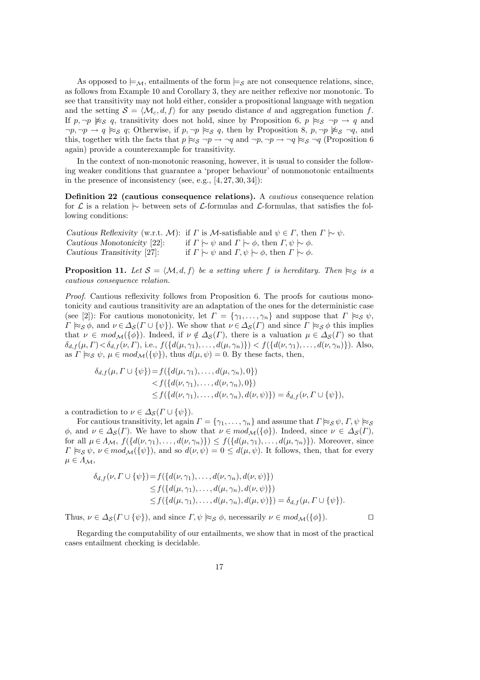As opposed to  $\models_{\mathcal{M}}$ , entailments of the form  $\models_{\mathcal{S}}$  are not consequence relations, since, as follows from Example 10 and Corollary 3, they are neither reflexive nor monotonic. To see that transitivity may not hold either, consider a propositional language with negation and the setting  $S = \langle \mathcal{M}_c, d, f \rangle$  for any pseudo distance d and aggregation function f. If  $p, \neg p \not\approx_S q$ , transitivity does not hold, since by Proposition 6,  $p \not\approx_S \neg p \rightarrow q$  and  $\neg p, \neg p \rightarrow q \approx_{\mathcal{S}} q$ ; Otherwise, if  $p, \neg p \approx_{\mathcal{S}} q$ , then by Proposition 8,  $p, \neg p \not\approx_{\mathcal{S}} \neg q$ , and this, together with the facts that  $p \approx_S \neg p \rightarrow \neg q$  and  $\neg p, \neg p \rightarrow \neg q \approx_S \neg q$  (Proposition 6) again) provide a counterexample for transitivity.

In the context of non-monotonic reasoning, however, it is usual to consider the following weaker conditions that guarantee a 'proper behaviour' of nonmonotonic entailments in the presence of inconsistency (see, e.g.,  $[4, 27, 30, 34]$ ):

Definition 22 (cautious consequence relations). A cautious consequence relation for L is a relation  $\sim$  between sets of L-formulas and L-formulas, that satisfies the following conditions:

Cautious Reflexivity (w.r.t. M): if  $\Gamma$  is M-satisfiable and  $\psi \in \Gamma$ , then  $\Gamma \sim \psi$ . Cautious Monotonicity [22]: if  $\Gamma \mid \sim \psi$  and  $\Gamma \mid \sim \phi$ , then  $\Gamma, \psi \mid \sim \phi$ . Cautious Transitivity [27]: if  $\Gamma \sim \psi$  and  $\Gamma, \psi \sim \phi$ , then  $\Gamma \sim \phi$ .

**Proposition 11.** Let  $S = \langle M, d, f \rangle$  be a setting where f is hereditary. Then  $\approx_S$  is a cautious consequence relation.

Proof. Cautious reflexivity follows from Proposition 6. The proofs for cautious monotonicity and cautious transitivity are an adaptation of the ones for the deterministic case (see [2]): For cautious monotonicity, let  $\Gamma = {\gamma_1, \ldots, \gamma_n}$  and suppose that  $\Gamma \approx_{\mathcal{S}} \psi$ ,  $\Gamma \approx_{\mathcal{S}} \phi$ , and  $\nu \in \Delta_{\mathcal{S}}(\Gamma \cup {\psi})$ . We show that  $\nu \in \Delta_{\mathcal{S}}(\Gamma)$  and since  $\Gamma \approx_{\mathcal{S}} \phi$  this implies that  $\nu \in mod_{\mathcal{M}}(\{\phi\})$ . Indeed, if  $\nu \notin \Delta_{\mathcal{S}}(\Gamma)$ , there is a valuation  $\mu \in \Delta_{\mathcal{S}}(\Gamma)$  so that  $\delta_{d,f}(\mu, \Gamma) < \delta_{d,f}(\nu, \Gamma)$ , i.e.,  $f(\{d(\mu, \gamma_1), \ldots, d(\mu, \gamma_n)\}) < f(\{d(\nu, \gamma_1), \ldots, d(\nu, \gamma_n)\})$ . Also, as  $\Gamma \models_{\mathcal{S}} \psi, \mu \in \mathit{mod}_{\mathcal{M}}(\{\psi\}),$  thus  $d(\mu, \psi) = 0$ . By these facts, then,

$$
\delta_{d,f}(\mu, \Gamma \cup \{\psi\}) = f(\{d(\mu, \gamma_1), \dots, d(\mu, \gamma_n), 0\}) \n\leq f(\{d(\nu, \gamma_1), \dots, d(\nu, \gamma_n), 0\}) \n\leq f(\{d(\nu, \gamma_1), \dots, d(\nu, \gamma_n), d(\nu, \psi)\}) = \delta_{d,f}(\nu, \Gamma \cup \{\psi\}),
$$

a contradiction to  $\nu \in \Delta_{\mathcal{S}}(\Gamma \cup \{\psi\}).$ 

For cautious transitivity, let again  $\Gamma = \{\gamma_1, \ldots, \gamma_n\}$  and assume that  $\Gamma \approx_{\mathcal{S}} \psi, \Gamma, \psi \approx_{\mathcal{S}} \mathcal{S}$  $\phi$ , and  $\nu \in \Delta_{\mathcal{S}}(\Gamma)$ . We have to show that  $\nu \in mod_{\mathcal{M}}(\{\phi\})$ . Indeed, since  $\nu \in \Delta_{\mathcal{S}}(\Gamma)$ , for all  $\mu \in \Lambda_{\mathcal{M}}$ ,  $f(\{d(\nu, \gamma_1), \ldots, d(\nu, \gamma_n)\}) \leq f(\{d(\mu, \gamma_1), \ldots, d(\mu, \gamma_n)\})$ . Moreover, since  $\Gamma \approx_{\mathcal{S}} \psi$ ,  $\nu \in \mathbb{N}$ ,  $(\{\psi\})$ , and so  $d(\nu, \psi) = 0 \leq d(\mu, \psi)$ . It follows, then, that for every  $\mu \in A_{\mathcal{M}},$ 

$$
\delta_{d,f}(\nu, \Gamma \cup \{\psi\}) = f(\{d(\nu, \gamma_1), \dots, d(\nu, \gamma_n), d(\nu, \psi)\})
$$
  
\n
$$
\leq f(\{d(\mu, \gamma_1), \dots, d(\mu, \gamma_n), d(\nu, \psi)\})
$$
  
\n
$$
\leq f(\{d(\mu, \gamma_1), \dots, d(\mu, \gamma_n), d(\mu, \psi)\}) = \delta_{d,f}(\mu, \Gamma \cup \{\psi\}).
$$

Thus,  $\nu \in \Delta_{\mathcal{S}}(\Gamma \cup \{\psi\})$ , and since  $\Gamma, \psi \approx_{\mathcal{S}} \phi$ , necessarily  $\nu \in mod_{\mathcal{M}}(\{\phi\})$ .

Regarding the computability of our entailments, we show that in most of the practical cases entailment checking is decidable.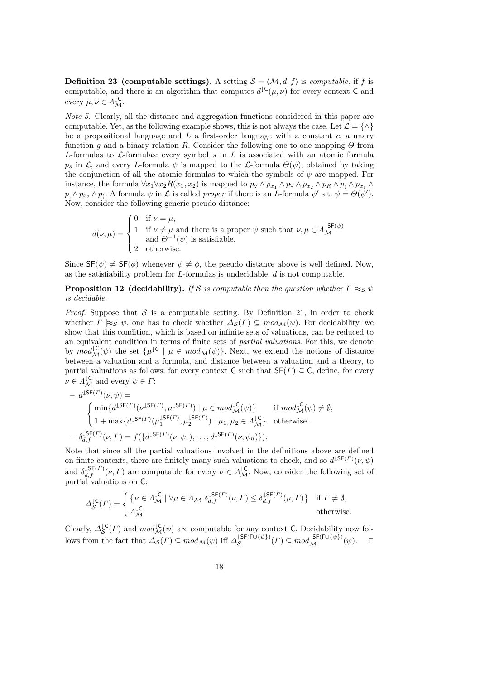**Definition 23** (computable settings). A setting  $S = \langle M, d, f \rangle$  is *computable*, if f is computable, and there is an algorithm that computes  $d^{l}(\mu,\nu)$  for every context C and every  $\mu, \nu \in \Lambda_{\mathcal{M}}^{\downarrow \mathsf{C}}$ .

Note 5. Clearly, all the distance and aggregation functions considered in this paper are computable. Yet, as the following example shows, this is not always the case. Let  $\mathcal{L} = \{\wedge\}$ be a propositional language and  $L$  a first-order language with a constant  $c$ , a unary function g and a binary relation R. Consider the following one-to-one mapping  $\Theta$  from L-formulas to  $\mathcal{L}$ -formulas: every symbol s in L is associated with an atomic formula  $p_s$  in  $\mathcal{L}$ , and every L-formula  $\psi$  is mapped to the L-formula  $\Theta(\psi)$ , obtained by taking the conjunction of all the atomic formulas to which the symbols of  $\psi$  are mapped. For instance, the formula  $\forall x_1 \forall x_2 R(x_1, x_2)$  is mapped to  $p_\forall \wedge p_{x_1} \wedge p_\forall \wedge p_{x_2} \wedge p_R \wedge p_\ell \wedge p_{x_1} \wedge p_\ell$  $p, \wedge p_{x_2} \wedge p$ . A formula  $\psi$  in  $\mathcal L$  is called proper if there is an L-formula  $\psi'$  s.t.  $\psi = \Theta(\psi')$ . Now, consider the following generic pseudo distance:

$$
d(\nu,\mu) = \begin{cases} 0 & \text{if } \nu = \mu, \\ 1 & \text{if } \nu \neq \mu \text{ and there is a proper } \psi \text{ such that } \nu, \mu \in \Lambda_{\mathcal{M}}^{\downarrow \mathsf{SF}(\psi)} \\ & \text{and } \Theta^{-1}(\psi) \text{ is satisfiable,} \\ 2 & \text{otherwise.} \end{cases}
$$

Since  $\mathsf{SF}(\psi) \neq \mathsf{SF}(\phi)$  whenever  $\psi \neq \phi$ , the pseudo distance above is well defined. Now, as the satisfiability problem for  $L$ -formulas is undecidable,  $d$  is not computable.

**Proposition 12 (decidability).** If S is computable then the question whether  $\Gamma \approx_S \psi$ is decidable.

*Proof.* Suppose that S is a computable setting. By Definition 21, in order to check whether  $\Gamma \approx_{\mathcal{S}} \psi$ , one has to check whether  $\Delta_{\mathcal{S}}(\Gamma) \subseteq \text{mod}_{\mathcal{M}}(\psi)$ . For decidability, we show that this condition, which is based on infinite sets of valuations, can be reduced to an equivalent condition in terms of finite sets of *partial valuations*. For this, we denote by  $mod_{\mathcal{M}}^{\mathcal{L}}(\psi)$  the set  $\{\mu^{\mathcal{L}} \mid \mu \in mod_{\mathcal{M}}(\psi)\}\)$ . Next, we extend the notions of distance between a valuation and a formula, and distance between a valuation and a theory, to partial valuations as follows: for every context C such that  $\mathsf{SF}(\Gamma) \subseteq \mathsf{C}$ , define, for every  $\nu \in \Lambda_{\mathcal{M}}^{\downarrow \mathsf{C}}$  and every  $\psi \in \Gamma$ :

$$
- d^{\downarrow \mathsf{SF}(\varGamma)}(\nu, \psi) =
$$
\n
$$
\begin{cases}\n\min \{ d^{\downarrow \mathsf{SF}(\varGamma)}(\nu^{\downarrow \mathsf{SF}(\varGamma)}, \mu^{\downarrow \mathsf{SF}(\varGamma)}) \mid \mu \in \operatorname{mod}_{\mathcal{M}}^{\downarrow \mathsf{C}}(\psi) \} & \text{if } \operatorname{mod}_{\mathcal{M}}^{\downarrow \mathsf{C}}(\psi) \neq \emptyset, \\
1 + \max \{ d^{\downarrow \mathsf{SF}(\varGamma)}(\mu^{\downarrow \mathsf{SF}(\varGamma)}_1, \mu^{\downarrow \mathsf{SF}(\varGamma)}_2) \mid \mu_1, \mu_2 \in \Lambda_{\mathcal{M}}^{\downarrow \mathsf{C}} \} & \text{otherwise.} \\
-\delta_{d,f}^{\downarrow \mathsf{SF}(\varGamma)}(\nu, \varGamma) = f(\{ d^{\downarrow \mathsf{SF}(\varGamma)}(\nu, \psi_1), \dots, d^{\downarrow \mathsf{SF}(\varGamma)}(\nu, \psi_n) \}).\n\end{cases}
$$

Note that since all the partial valuations involved in the definitions above are defined on finite contexts, there are finitely many such valuations to check, and so  $d^{\downarrow \mathsf{SF}(T)}(\nu, \psi)$ and  $\delta_{d,f}^{\downarrow \mathsf{SF}(T)}(\nu, \Gamma)$  are computable for every  $\nu \in \Lambda_{\mathcal{M}}^{\downarrow \mathsf{C}}$ . Now, consider the following set of partial valuations on C:

$$
\Delta_{\mathcal{S}}^{\downarrow \mathsf{C}}(\Gamma) = \begin{cases} \{ \nu \in \Lambda_{\mathcal{M}}^{\downarrow \mathsf{C}} \mid \forall \mu \in \Lambda_{\mathcal{M}} \; \delta_{d,f}^{\downarrow \mathsf{SF}(\Gamma)}(\nu, \Gamma) \leq \delta_{d,f}^{\downarrow \mathsf{SF}(\Gamma)}(\mu, \Gamma) \} & \text{if } \Gamma \neq \emptyset, \\ \Lambda_{\mathcal{M}}^{\downarrow \mathsf{C}} & \text{otherwise.} \end{cases}
$$

Clearly,  $\Delta_{\mathcal{S}}^{\downarrow}(\Gamma)$  and  $mod_{\mathcal{M}}^{\downarrow}(\psi)$  are computable for any context C. Decidability now follows from the fact that  $\Delta_{\mathcal{S}}(\Gamma) \subseteq mod_{\mathcal{M}}(\psi)$  iff  $\Delta_{\mathcal{S}}^{\downarrow \mathsf{SF}(\Gamma \cup \{\psi\})}$  $S^{JSE(\Gamma \cup \{\psi\})}(T) \subseteq mod_{\mathcal{M}}^{LSE(\Gamma \cup \{\psi\})}(\psi).$   $\Box$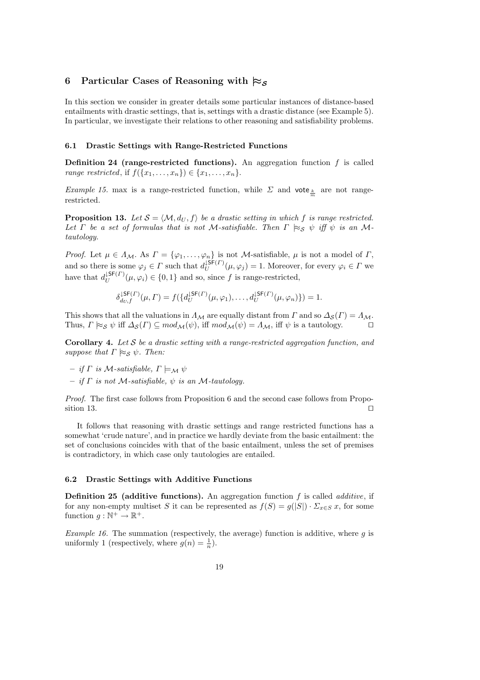# 6 Particular Cases of Reasoning with  $\approx_{\mathcal{S}}$

In this section we consider in greater details some particular instances of distance-based entailments with drastic settings, that is, settings with a drastic distance (see Example 5). In particular, we investigate their relations to other reasoning and satisfiability problems.

## 6.1 Drastic Settings with Range-Restricted Functions

**Definition 24 (range-restricted functions).** An aggregation function  $f$  is called range restricted, if  $f({x_1, \ldots, x_n}) \in {x_1, \ldots, x_n}.$ 

*Example 15.* max is a range-restricted function, while  $\Sigma$  and vote  $\frac{k}{m}$  are not rangerestricted.

**Proposition 13.** Let  $S = \langle M, d_U, f \rangle$  be a drastic setting in which f is range restricted. Let  $\Gamma$  be a set of formulas that is not M-satisfiable. Then  $\Gamma \approx_{\mathcal{S}} \psi$  iff  $\psi$  is an Mtautology.

*Proof.* Let  $\mu \in \Lambda_{\mathcal{M}}$ . As  $\Gamma = {\varphi_1, \ldots, \varphi_n}$  is not M-satisfiable,  $\mu$  is not a model of  $\Gamma$ , and so there is some  $\varphi_j \in \Gamma$  such that  $d_U^{\downarrow \mathsf{SF}(\Gamma)}$  $U^{(\mathsf{D} \mathsf{F}(I))}(\mu, \varphi_j) = 1.$  Moreover, for every  $\varphi_i \in \Gamma$  we have that  $d_{II}^{\downarrow \mathsf{SF}(I)}$  $U^{15F(I)}(\mu, \varphi_i) \in \{0, 1\}$  and so, since f is range-restricted,

$$
\delta_{d_U,f}^{\downarrow \mathsf{SF}(T)}(\mu, \Gamma) = f(\{d_U^{\downarrow \mathsf{SF}(T)}(\mu, \varphi_1), \dots, d_U^{\downarrow \mathsf{SF}(T)}(\mu, \varphi_n)\}) = 1.
$$

This shows that all the valuations in  $\Lambda_M$  are equally distant from  $\Gamma$  and so  $\Delta_{\mathcal{S}}(\Gamma) = \Lambda_M$ . Thus,  $\Gamma \approx_{\mathcal{S}} \psi$  iff  $\Delta_{\mathcal{S}}(\Gamma) \subseteq mod_{\mathcal{M}}(\psi)$ , iff  $mod_{\mathcal{M}}(\psi) = \Lambda_{\mathcal{M}}$ , iff  $\psi$  is a tautology.

Corollary 4. Let  $S$  be a drastic setting with a range-restricted aggregation function, and suppose that  $\Gamma \approx_{\mathcal{S}} \psi$ . Then:

- if  $\Gamma$  is M-satisfiable,  $\Gamma \models_M \psi$
- $-$  if  $\Gamma$  is not M-satisfiable,  $\psi$  is an M-tautology.

Proof. The first case follows from Proposition 6 and the second case follows from Proposition 13.  $\Box$ 

It follows that reasoning with drastic settings and range restricted functions has a somewhat 'crude nature', and in practice we hardly deviate from the basic entailment: the set of conclusions coincides with that of the basic entailment, unless the set of premises is contradictory, in which case only tautologies are entailed.

### 6.2 Drastic Settings with Additive Functions

**Definition 25 (additive functions).** An aggregation function  $f$  is called *additive*, if for any non-empty multiset S it can be represented as  $f(S) = g(|S|) \cdot \sum_{x \in S} x$ , for some function  $g: \mathbb{N}^+ \to \mathbb{R}^+$ .

*Example 16.* The summation (respectively, the average) function is additive, where  $g$  is uniformly 1 (respectively, where  $g(n) = \frac{1}{n}$ ).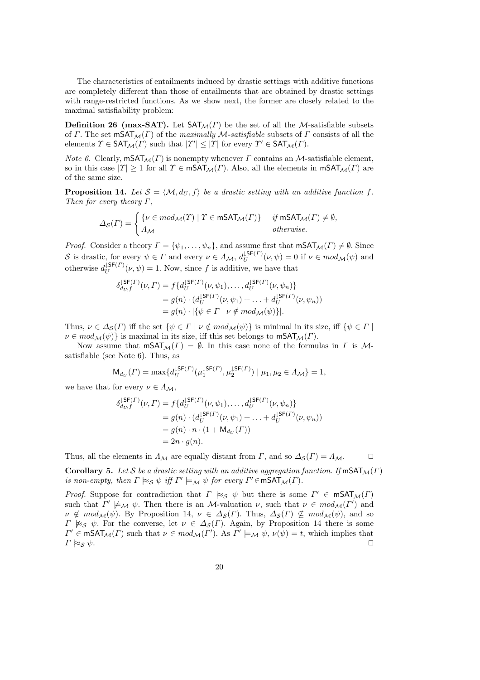The characteristics of entailments induced by drastic settings with additive functions are completely different than those of entailments that are obtained by drastic settings with range-restricted functions. As we show next, the former are closely related to the maximal satisfiability problem:

**Definition 26 (max-SAT).** Let  $\text{SAT}_{\mathcal{M}}(\Gamma)$  be the set of all the M-satisfiable subsets of Γ. The set  $\text{mSAT}_M(\Gamma)$  of the maximally M-satisfiable subsets of Γ consists of all the elements  $\Upsilon \in \text{SAT}_{\mathcal{M}}(\Gamma)$  such that  $|\Upsilon'| \leq |\Upsilon|$  for every  $\Upsilon' \in \text{SAT}_{\mathcal{M}}(\Gamma)$ .

*Note 6.* Clearly,  $mSAT_{\mathcal{M}}(T)$  is nonempty whenever  $\Gamma$  contains an  $\mathcal{M}$ -satisfiable element, so in this case  $|Y| \ge 1$  for all  $\Upsilon \in \text{mSAT}_{\mathcal{M}}(\Gamma)$ . Also, all the elements in  $\text{mSAT}_{\mathcal{M}}(\Gamma)$  are of the same size.

**Proposition 14.** Let  $S = \langle M, d_{U}, f \rangle$  be a drastic setting with an additive function f. Then for every theory  $\Gamma$ ,

$$
\Delta_{\mathcal{S}}(\Gamma) = \begin{cases} \{\nu \in mod_{\mathcal{M}}(\Gamma) \mid \Upsilon \in \mathsf{mSAT}_{\mathcal{M}}(\Gamma) \} & \text{if } \mathsf{mSAT}_{\mathcal{M}}(\Gamma) \neq \emptyset, \\ A_{\mathcal{M}} & \text{otherwise.} \end{cases}
$$

*Proof.* Consider a theory  $\Gamma = {\psi_1, \ldots, \psi_n}$ , and assume first that  $\mathsf{mSAT}_\mathcal{M}(\Gamma) \neq \emptyset$ . Since S is drastic, for every  $\psi \in \Gamma$  and every  $\nu \in \Lambda_{\mathcal{M}}, d_U^{(\mathsf{SF}(T))}$  $U^{3\text{P}(1)}(\nu,\psi) = 0$  if  $\nu \in mod_{\mathcal{M}}(\psi)$  and otherwise  $d_{II}^{\downarrow \mathsf{SF}(T)}$  $U^{J\text{Pr}(I)}(\nu,\psi) = 1.$  Now, since f is additive, we have that

$$
\delta_{d_U,f}^{\downarrow \mathsf{SF}(T)}(\nu, \Gamma) = f\{d_U^{\downarrow \mathsf{SF}(T)}(\nu, \psi_1), \dots, d_U^{\downarrow \mathsf{SF}(T)}(\nu, \psi_n)\}
$$
  
=  $g(n) \cdot (d_U^{\downarrow \mathsf{SF}(T)}(\nu, \psi_1) + \dots + d_U^{\downarrow \mathsf{SF}(T)}(\nu, \psi_n))$   
=  $g(n) \cdot |\{\psi \in \Gamma \mid \nu \notin mod_{\mathcal{M}}(\psi)\}|.$ 

Thus,  $\nu \in \Delta_{\mathcal{S}}(\Gamma)$  iff the set  $\{\psi \in \Gamma \mid \nu \notin mod_{\mathcal{M}}(\psi)\}\$ is minimal in its size, iff  $\{\psi \in \Gamma \mid \nu \notin mod_{\mathcal{M}}(\psi)\}\$  $\nu \in mod_{\mathcal{M}}(\psi)$  is maximal in its size, iff this set belongs to mSAT<sub>M</sub>(*Γ*).

Now assume that  $\text{mSAT}_{\mathcal{M}}(\Gamma) = \emptyset$ . In this case none of the formulas in  $\Gamma$  is Msatisfiable (see Note 6). Thus, as

$$
\mathsf{M}_{d_U}(\Gamma) = \max \{ d_U^{\mathsf{LSF}(\Gamma)}(\mu_1^{\mathsf{LSF}(\Gamma)}, \mu_2^{\mathsf{LSF}(\Gamma)}) \mid \mu_1, \mu_2 \in \Lambda_{\mathcal{M}} \} = 1,
$$

we have that for every  $\nu \in A_{\mathcal{M}}$ ,

$$
\delta_{d_{U},f}^{1\text{SF}(T)}(\nu,\Gamma) = f\{d_{U}^{1\text{SF}(T)}(\nu,\psi_{1}),\dots,d_{U}^{1\text{SF}(T)}(\nu,\psi_{n})\}
$$
  
=  $g(n) \cdot (d_{U}^{1\text{SF}(T)}(\nu,\psi_{1}) + \dots + d_{U}^{1\text{SF}(T)}(\nu,\psi_{n}))$   
=  $g(n) \cdot n \cdot (1 + M_{d_{U}}(T))$   
=  $2n \cdot g(n)$ .

Thus, all the elements in  $\Lambda_M$  are equally distant from  $\Gamma$ , and so  $\Delta_S(\Gamma) = \Lambda_M$ .

Corollary 5. Let S be a drastic setting with an additive aggregation function. If mSAT $_{\mathcal{M}}(\Gamma)$ is non-empty, then  $\Gamma \models_{\mathcal{S}} \psi$  iff  $\Gamma' \models_{\mathcal{M}} \psi$  for every  $\Gamma' \in \mathsf{mSAT}_\mathcal{M}(\Gamma)$ .

Proof. Suppose for contradiction that  $\Gamma \not\approx_{\mathcal{S}} \psi$  but there is some  $\Gamma' \in \text{mSAT}_{\mathcal{M}}(\Gamma)$ such that  $\Gamma' \not\models_M \psi$ . Then there is an M-valuation  $\nu$ , such that  $\nu \in mod_{\mathcal{M}}(\Gamma')$  and  $\nu \notin \mathit{mod}_{\mathcal{M}}(\psi)$ . By Proposition 14,  $\nu \in \Delta_{\mathcal{S}}(\Gamma)$ . Thus,  $\Delta_{\mathcal{S}}(\Gamma) \not\subseteq \mathit{mod}_{\mathcal{M}}(\psi)$ , and so  $\Gamma \not\approx_{\mathcal{S}} \psi$ . For the converse, let  $\nu \in \Delta_{\mathcal{S}}(\Gamma)$ . Again, by Proposition 14 there is some  $\Gamma' \in \text{mSAT}_{\mathcal{M}}(\Gamma)$  such that  $\nu \in mod_{\mathcal{M}}(\Gamma')$ . As  $\Gamma' \models_{\mathcal{M}} \psi$ ,  $\nu(\psi) = t$ , which implies that  $\Gamma \approx_{\mathcal{S}} \psi$ .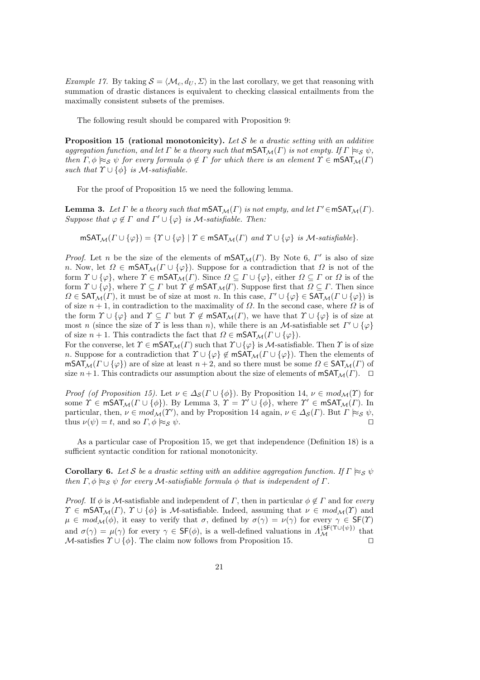Example 17. By taking  $S = \langle \mathcal{M}_c, d_U, \Sigma \rangle$  in the last corollary, we get that reasoning with summation of drastic distances is equivalent to checking classical entailments from the maximally consistent subsets of the premises.

The following result should be compared with Proposition 9:

**Proposition 15** (rational monotonicity). Let S be a drastic setting with an additive aggregation function, and let  $\Gamma$  be a theory such that  $\text{mSAT}_{\mathcal{M}}(\Gamma)$  is not empty. If  $\Gamma \approx_{\mathcal{S}} \psi$ , then  $\Gamma, \phi \approx_{\mathcal{S}} \psi$  for every formula  $\phi \notin \Gamma$  for which there is an element  $\Upsilon \in \mathsf{mSAT}_\mathcal{M}(\Gamma)$ such that  $\Upsilon \cup \{\phi\}$  is M-satisfiable.

For the proof of Proposition 15 we need the following lemma.

**Lemma 3.** Let  $\Gamma$  be a theory such that  $\text{mSAT}_{\mathcal{M}}(\Gamma)$  is not empty, and let  $\Gamma' \in \text{mSAT}_{\mathcal{M}}(\Gamma)$ . Suppose that  $\varphi \notin \Gamma$  and  $\Gamma' \cup {\varphi}$  is M-satisfiable. Then:

 $\text{mSAT}_{\mathcal{M}}(\Gamma \cup \{\varphi\}) = \{ \Upsilon \cup \{\varphi\} \mid \Upsilon \in \text{mSAT}_{\mathcal{M}}(\Gamma) \text{ and } \Upsilon \cup \{\varphi\} \text{ is } \mathcal{M}\text{-satisfiable}\}.$ 

*Proof.* Let n be the size of the elements of  $mSAT_{\mathcal{M}}(\Gamma)$ . By Note 6,  $\Gamma'$  is also of size n. Now, let  $\Omega \in \text{mSAT}_{\mathcal{M}}(F \cup \{\varphi\})$ . Suppose for a contradiction that  $\Omega$  is not of the form  $\Upsilon \cup \{\varphi\}$ , where  $\Upsilon \in \mathsf{mSAT}_\mathcal{M}(\Gamma)$ . Since  $\Omega \subseteq \Gamma \cup \{\varphi\}$ , either  $\Omega \subseteq \Gamma$  or  $\Omega$  is of the form  $\Upsilon \cup {\varphi}$ , where  $\Upsilon \subseteq \Gamma$  but  $\Upsilon \notin \mathsf{mSAT}_\mathcal{M}(\Gamma)$ . Suppose first that  $\Omega \subseteq \Gamma$ . Then since  $\Omega \in \text{SAT}_{\mathcal{M}}(\Gamma)$ , it must be of size at most n. In this case,  $\Gamma' \cup \{\varphi\} \in \text{SAT}_{\mathcal{M}}(\Gamma \cup \{\varphi\})$  is of size  $n + 1$ , in contradiction to the maximality of  $\Omega$ . In the second case, where  $\Omega$  is of the form  $\Upsilon \cup \{\varphi\}$  and  $\Upsilon \subseteq \Gamma$  but  $\Upsilon \notin \mathsf{mSAT}_\mathcal{M}(\Gamma)$ , we have that  $\Upsilon \cup \{\varphi\}$  is of size at most n (since the size of T is less than n), while there is an M-satisfiable set  $\Gamma' \cup \{\varphi\}$ of size  $n + 1$ . This contradicts the fact that  $\Omega \in \text{mSAT}_{\mathcal{M}}(\Gamma \cup \{\varphi\})$ .

For the converse, let  $\Upsilon \in \text{mSAT}_{\mathcal{M}}(\Gamma)$  such that  $\Upsilon \cup \{\varphi\}$  is  $\mathcal{M}$ -satisfiable. Then  $\Upsilon$  is of size n. Suppose for a contradiction that  $\Upsilon \cup \{\varphi\} \notin \text{mSAT}_{\mathcal{M}}(\Gamma \cup \{\varphi\})$ . Then the elements of mSAT<sub>M</sub>( $\Gamma \cup {\varphi}$ ) are of size at least  $n+2$ , and so there must be some  $\Omega \in \text{SAT}_M(\Gamma)$  of size  $n+1$ . This contradicts our assumption about the size of elements of mSAT<sub>M</sub>(Γ).  $\Box$ 

*Proof (of Proposition 15).* Let  $\nu \in \Delta_{\mathcal{S}}(\Gamma \cup \{\phi\})$ . By Proposition 14,  $\nu \in mod_{\mathcal{M}}(\Upsilon)$  for some  $\Upsilon \in \text{mSAT}_{\mathcal{M}}(\Gamma \cup \{\phi\})$ . By Lemma 3,  $\Upsilon = \Upsilon' \cup \{\phi\}$ , where  $\Upsilon' \in \text{mSAT}_{\mathcal{M}}(\Gamma)$ . In particular, then,  $\nu \in mod_{\mathcal{M}}(\mathcal{X}')$ , and by Proposition 14 again,  $\nu \in \Delta_{\mathcal{S}}(\Gamma)$ . But  $\Gamma \approx_{\mathcal{S}} \psi$ , thus  $\nu(\psi) = t$ , and so  $\Gamma, \phi \approx s \psi$ .

As a particular case of Proposition 15, we get that independence (Definition 18) is a sufficient syntactic condition for rational monotonicity.

**Corollary 6.** Let S be a drastic setting with an additive aggregation function. If  $\Gamma \approx_{\mathcal{S}} \psi$ then  $\Gamma, \phi \approx_{\mathcal{S}} \psi$  for every M-satisfiable formula  $\phi$  that is independent of  $\Gamma$ .

*Proof.* If  $\phi$  is M-satisfiable and independent of  $\Gamma$ , then in particular  $\phi \notin \Gamma$  and for every  $\Upsilon \in \text{mSAT}_{\mathcal{M}}(\Gamma), \Upsilon \cup \{\phi\}$  is M-satisfiable. Indeed, assuming that  $\nu \in \text{mod}_{\mathcal{M}}(\Upsilon)$  and  $\mu \in mod_{\mathcal{M}}(\phi)$ , it easy to verify that  $\sigma$ , defined by  $\sigma(\gamma) = \nu(\gamma)$  for every  $\gamma \in \mathsf{SF}(\gamma)$ and  $\sigma(\gamma) = \mu(\gamma)$  for every  $\gamma \in \mathsf{SF}(\phi)$ , is a well-defined valuations in  $\Lambda_{\mathcal{M}}^{\mathsf{LSF}(\Upsilon \cup \{\psi\})}$  that M-satisfies  $\Upsilon \cup {\phi}$ . The claim now follows from Proposition 15.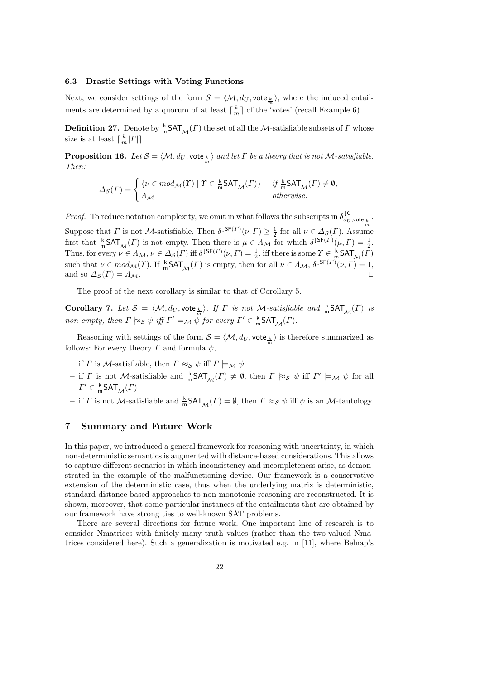### 6.3 Drastic Settings with Voting Functions

Next, we consider settings of the form  $S = \langle M, d_U, \text{vote}_{\frac{k}{m}} \rangle$ , where the induced entailments are determined by a quorum of at least  $\lceil \frac{k}{m} \rceil$  of the 'votes' (recall Example 6).

**Definition 27.** Denote by  $\frac{k}{m}$ **SAT**<sub>M</sub>(*Γ*) the set of all the *M*-satisfiable subsets of *Γ* whose size is at least  $\lceil \frac{k}{m} | \Gamma | \rceil$ .

**Proposition 16.** Let  $S = \langle M, d_U, \text{vote} \frac{k}{m} \rangle$  and let  $\Gamma$  be a theory that is not M-satisfiable. Then:

$$
\Delta_{\mathcal{S}}(\Gamma) = \begin{cases} \{ \nu \in mod_{\mathcal{M}}(\Upsilon) \mid \Upsilon \in \frac{\text{ k}}{\text{m}} \text{SAT}_{\mathcal{M}}(\Gamma) \} & \text{if } \frac{\text{ k}}{\text{m}} \text{SAT}_{\mathcal{M}}(\Gamma) \neq \emptyset, \\ A_{\mathcal{M}} & \text{otherwise.} \end{cases}
$$

*Proof.* To reduce notation complexity, we omit in what follows the subscripts in  $\delta_{d_U, \text{vote}_{\frac{k}{m}}}^{\downarrow \text{C}}$ . Suppose that  $\Gamma$  is not M-satisfiable. Then  $\delta^{\downarrow \mathsf{SF}(\Gamma)}(\nu, \Gamma) \geq \frac{1}{2}$  for all  $\nu \in \Delta_{\mathcal{S}}(\Gamma)$ . Assume first that  $\frac{k}{m} \text{SAT}_{\mathcal{M}}(\Gamma)$  is not empty. Then there is  $\mu \in \Lambda_{\mathcal{M}}$  for which  $\delta^{\downarrow \text{SF}(\Gamma)}(\mu, \Gamma) = \frac{1}{2}$ . Thus, for every  $\nu \in \Lambda_{\mathcal{M}}, \nu \in \Delta_{\mathcal{S}}(\Gamma)$  iff  $\delta^{\downarrow \mathsf{SF}(\Gamma)}(\nu, \Gamma) = \frac{1}{2}$ , iff there is some  $\Upsilon \in \frac{k}{m} \mathsf{SAT}_{\mathcal{M}}(\Gamma)$ such that  $\nu \in mod_{\mathcal{M}}(\Upsilon)$ . If  $\frac{k}{m} \mathsf{SAT}_{\mathcal{M}}(\Gamma)$  is empty, then for all  $\nu \in \Lambda_{\mathcal{M}}, \delta^{\downarrow \mathsf{SF}(\Gamma)}(\nu, \Gamma) = 1$ , and so  $\Delta_{\mathcal{S}}(\Gamma) = \Lambda_{\mathcal{M}}$ .

The proof of the next corollary is similar to that of Corollary 5.

Corollary 7. Let  $S = \langle M, d_U, \text{vote} \frac{k}{m} \rangle$ . If  $\Gamma$  is not M-satisfiable and  $\frac{k}{m}SAT_{\mathcal{M}}(\Gamma)$  is non-empty, then  $\Gamma \not\approx_{\mathcal{S}} \psi$  iff  $\Gamma' \models_{\mathcal{M}} \psi$  for every  $\Gamma' \in \frac{\mathsf{k}}{\mathsf{m}} \mathsf{SAT}_{\mathcal{M}}(\Gamma)$ .

Reasoning with settings of the form  $S = \langle M, d_U, \text{vote} \frac{k}{m} \rangle$  is therefore summarized as follows: For every theory  $\Gamma$  and formula  $\psi$ ,

- if  $\Gamma$  is M-satisfiable, then  $\Gamma \not\approx_{\mathcal{S}} \psi$  iff  $\Gamma \models_{\mathcal{M}} \psi$
- if  $\Gamma$  is not M-satisfiable and  $\frac{k}{m}SAT_{\mathcal{M}}(\Gamma) \neq \emptyset$ , then  $\Gamma \not\approx_{\mathcal{S}} \psi$  iff  $\Gamma' \models_{\mathcal{M}} \psi$  for all  $\Gamma' \in \frac{k}{m} \mathsf{SAT}_\mathcal{M}(\Gamma)$
- if  $\Gamma$  is not M-satisfiable and  $\frac{k}{m}SAT_{\mathcal{M}}(\Gamma) = \emptyset$ , then  $\Gamma \models_{\mathcal{S}} \psi$  iff  $\psi$  is an M-tautology.

## 7 Summary and Future Work

In this paper, we introduced a general framework for reasoning with uncertainty, in which non-deterministic semantics is augmented with distance-based considerations. This allows to capture different scenarios in which inconsistency and incompleteness arise, as demonstrated in the example of the malfunctioning device. Our framework is a conservative extension of the deterministic case, thus when the underlying matrix is deterministic, standard distance-based approaches to non-monotonic reasoning are reconstructed. It is shown, moreover, that some particular instances of the entailments that are obtained by our framework have strong ties to well-known SAT problems.

There are several directions for future work. One important line of research is to consider Nmatrices with finitely many truth values (rather than the two-valued Nmatrices considered here). Such a generalization is motivated e.g. in [11], where Belnap's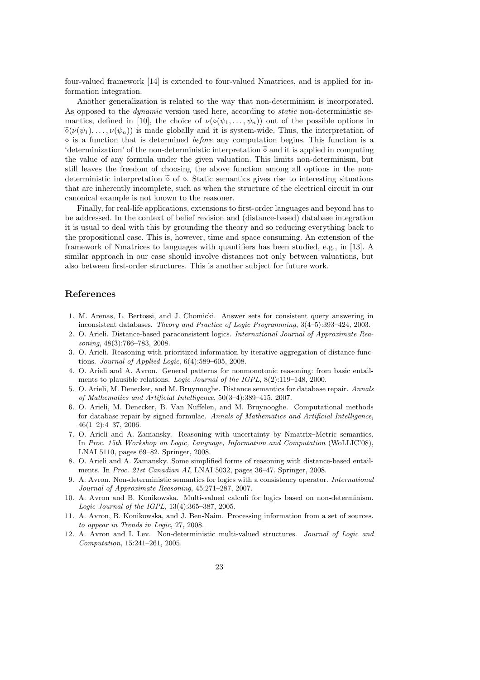four-valued framework [14] is extended to four-valued Nmatrices, and is applied for information integration.

Another generalization is related to the way that non-determinism is incorporated. As opposed to the *dynamic* version used here, according to *static* non-deterministic semantics, defined in [10], the choice of  $\nu(\diamond(\psi_1,\ldots,\psi_n))$  out of the possible options in  $\tilde{\diamond}(\nu(\psi_1),\ldots,\nu(\psi_n))$  is made globally and it is system-wide. Thus, the interpretation of  $\Diamond$  is a function that is determined *before* any computation begins. This function is a 'determinization' of the non-deterministic interpretation  $\tilde{\diamond}$  and it is applied in computing the value of any formula under the given valuation. This limits non-determinism, but still leaves the freedom of choosing the above function among all options in the nondeterministic interpretation  $\delta$  of  $\delta$ . Static semantics gives rise to interesting situations that are inherently incomplete, such as when the structure of the electrical circuit in our canonical example is not known to the reasoner.

Finally, for real-life applications, extensions to first-order languages and beyond has to be addressed. In the context of belief revision and (distance-based) database integration it is usual to deal with this by grounding the theory and so reducing everything back to the propositional case. This is, however, time and space consuming. An extension of the framework of Nmatrices to languages with quantifiers has been studied, e.g., in [13]. A similar approach in our case should involve distances not only between valuations, but also between first-order structures. This is another subject for future work.

# References

- 1. M. Arenas, L. Bertossi, and J. Chomicki. Answer sets for consistent query answering in inconsistent databases. Theory and Practice of Logic Programming, 3(4–5):393–424, 2003.
- 2. O. Arieli. Distance-based paraconsistent logics. International Journal of Approximate Reasoning, 48(3):766–783, 2008.
- 3. O. Arieli. Reasoning with prioritized information by iterative aggregation of distance functions. Journal of Applied Logic, 6(4):589–605, 2008.
- 4. O. Arieli and A. Avron. General patterns for nonmonotonic reasoning: from basic entailments to plausible relations. Logic Journal of the IGPL, 8(2):119–148, 2000.
- 5. O. Arieli, M. Denecker, and M. Bruynooghe. Distance semantics for database repair. Annals of Mathematics and Artificial Intelligence, 50(3–4):389–415, 2007.
- 6. O. Arieli, M. Denecker, B. Van Nuffelen, and M. Bruynooghe. Computational methods for database repair by signed formulae. Annals of Mathematics and Artificial Intelligence, 46(1–2):4–37, 2006.
- 7. O. Arieli and A. Zamansky. Reasoning with uncertainty by Nmatrix–Metric semantics. In Proc. 15th Workshop on Logic, Language, Information and Computation (WoLLIC'08), LNAI 5110, pages 69–82. Springer, 2008.
- 8. O. Arieli and A. Zamansky. Some simplified forms of reasoning with distance-based entailments. In Proc. 21st Canadian AI, LNAI 5032, pages 36–47. Springer, 2008.
- 9. A. Avron. Non-deterministic semantics for logics with a consistency operator. International Journal of Approximate Reasoning, 45:271–287, 2007.
- 10. A. Avron and B. Konikowska. Multi-valued calculi for logics based on non-determinism. Logic Journal of the IGPL, 13(4):365–387, 2005.
- 11. A. Avron, B. Konikowska, and J. Ben-Naim. Processing information from a set of sources. to appear in Trends in Logic, 27, 2008.
- 12. A. Avron and I. Lev. Non-deterministic multi-valued structures. Journal of Logic and Computation, 15:241–261, 2005.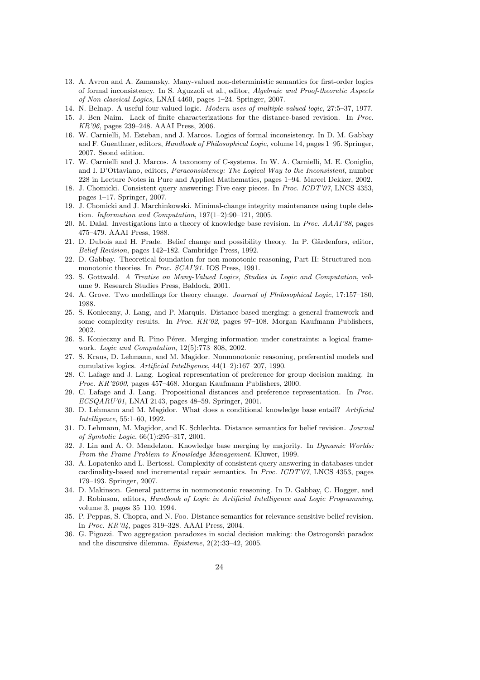- 13. A. Avron and A. Zamansky. Many-valued non-deterministic semantics for first-order logics of formal inconsistency. In S. Aguzzoli et al., editor, Algebraic and Proof-theoretic Aspects of Non-classical Logics, LNAI 4460, pages 1–24. Springer, 2007.
- 14. N. Belnap. A useful four-valued logic. Modern uses of multiple-valued logic, 27:5–37, 1977.
- 15. J. Ben Naim. Lack of finite characterizations for the distance-based revision. In Proc. KR'06, pages 239–248. AAAI Press, 2006.
- 16. W. Carnielli, M. Esteban, and J. Marcos. Logics of formal inconsistency. In D. M. Gabbay and F. Guenthner, editors, Handbook of Philosophical Logic, volume 14, pages 1–95. Springer, 2007. Seond edition.
- 17. W. Carnielli and J. Marcos. A taxonomy of C-systems. In W. A. Carnielli, M. E. Coniglio, and I. D'Ottaviano, editors, Paraconsistency: The Logical Way to the Inconsistent, number 228 in Lecture Notes in Pure and Applied Mathematics, pages 1–94. Marcel Dekker, 2002.
- 18. J. Chomicki. Consistent query answering: Five easy pieces. In Proc. ICDT'07, LNCS 4353, pages 1–17. Springer, 2007.
- 19. J. Chomicki and J. Marchinkowski. Minimal-change integrity maintenance using tuple deletion. Information and Computation, 197(1–2):90–121, 2005.
- 20. M. Dalal. Investigations into a theory of knowledge base revision. In Proc. AAAI'88, pages 475–479. AAAI Press, 1988.
- 21. D. Dubois and H. Prade. Belief change and possibility theory. In P. Gärdenfors, editor, Belief Revision, pages 142–182. Cambridge Press, 1992.
- 22. D. Gabbay. Theoretical foundation for non-monotonic reasoning, Part II: Structured nonmonotonic theories. In Proc. SCAI'91. IOS Press, 1991.
- 23. S. Gottwald. A Treatise on Many-Valued Logics, Studies in Logic and Computation, volume 9. Research Studies Press, Baldock, 2001.
- 24. A. Grove. Two modellings for theory change. Journal of Philosophical Logic, 17:157–180, 1988.
- 25. S. Konieczny, J. Lang, and P. Marquis. Distance-based merging: a general framework and some complexity results. In Proc. KR'02, pages 97–108. Morgan Kaufmann Publishers, 2002.
- 26. S. Konieczny and R. Pino Pérez. Merging information under constraints: a logical framework. Logic and Computation, 12(5):773–808, 2002.
- 27. S. Kraus, D. Lehmann, and M. Magidor. Nonmonotonic reasoning, preferential models and cumulative logics. Artificial Intelligence, 44(1–2):167–207, 1990.
- 28. C. Lafage and J. Lang. Logical representation of preference for group decision making. In Proc. KR'2000, pages 457–468. Morgan Kaufmann Publishers, 2000.
- 29. C. Lafage and J. Lang. Propositional distances and preference representation. In Proc. ECSQARU'01, LNAI 2143, pages 48–59. Springer, 2001.
- 30. D. Lehmann and M. Magidor. What does a conditional knowledge base entail? Artificial Intelligence, 55:1–60, 1992.
- 31. D. Lehmann, M. Magidor, and K. Schlechta. Distance semantics for belief revision. Journal of Symbolic Logic, 66(1):295–317, 2001.
- 32. J. Lin and A. O. Mendelzon. Knowledge base merging by majority. In Dynamic Worlds: From the Frame Problem to Knowledge Management. Kluwer, 1999.
- 33. A. Lopatenko and L. Bertossi. Complexity of consistent query answering in databases under cardinality-based and incremental repair semantics. In Proc. ICDT'07, LNCS 4353, pages 179–193. Springer, 2007.
- 34. D. Makinson. General patterns in nonmonotonic reasoning. In D. Gabbay, C. Hogger, and J. Robinson, editors, Handbook of Logic in Artificial Intelligence and Logic Programming, volume 3, pages 35–110. 1994.
- 35. P. Peppas, S. Chopra, and N. Foo. Distance semantics for relevance-sensitive belief revision. In Proc. KR'04, pages 319–328. AAAI Press, 2004.
- 36. G. Pigozzi. Two aggregation paradoxes in social decision making: the Ostrogorski paradox and the discursive dilemma. Episteme, 2(2):33–42, 2005.